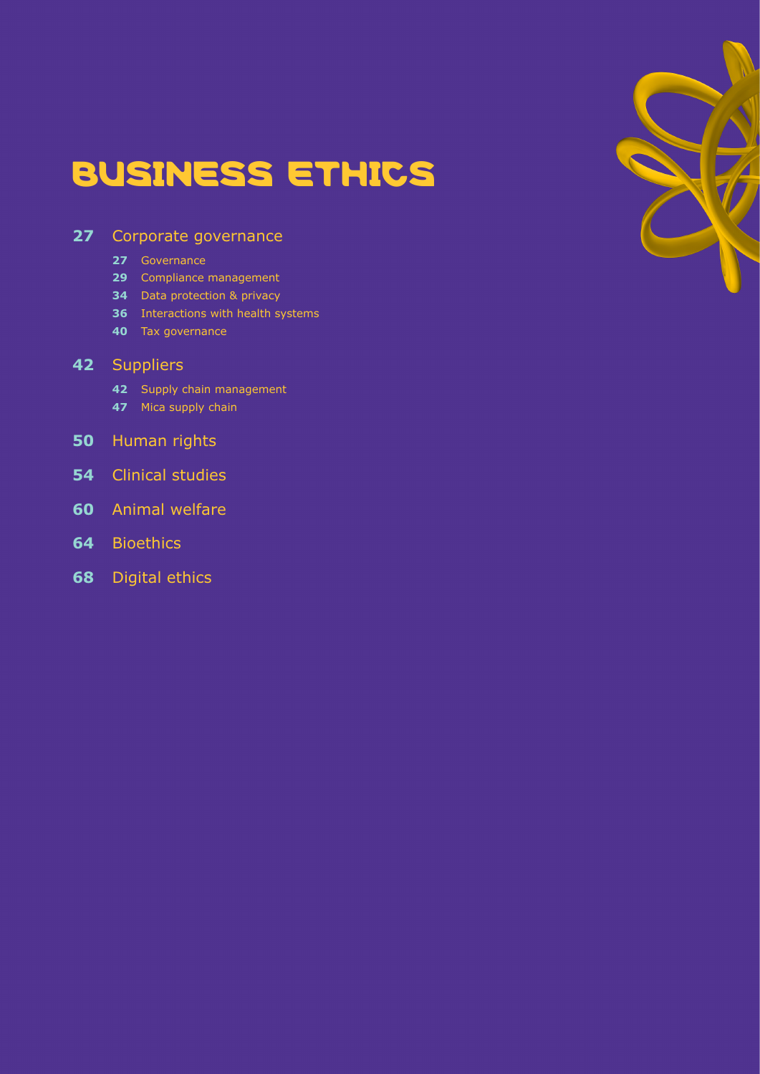# BUSINESS ETHICS

## [Corporate governance](#page-26-0)

- [Governance](#page-26-1)
- [Compliance management](#page-28-0)
- [Data protection & privacy](#page-33-0)
- [Interactions with health systems](#page-35-0)
- [Tax governance](#page-39-0)

### [Suppliers](#page-41-0)

- [Supply chain management](#page-41-1)
- [Mica supply chain](#page-46-0)
- [Human rights](#page-49-0)
- [Clinical studies](#page-53-0)
- [Animal welfare](#page-59-0)
- [Bioethics](#page-63-0)
- [Digital ethics](#page-67-0)

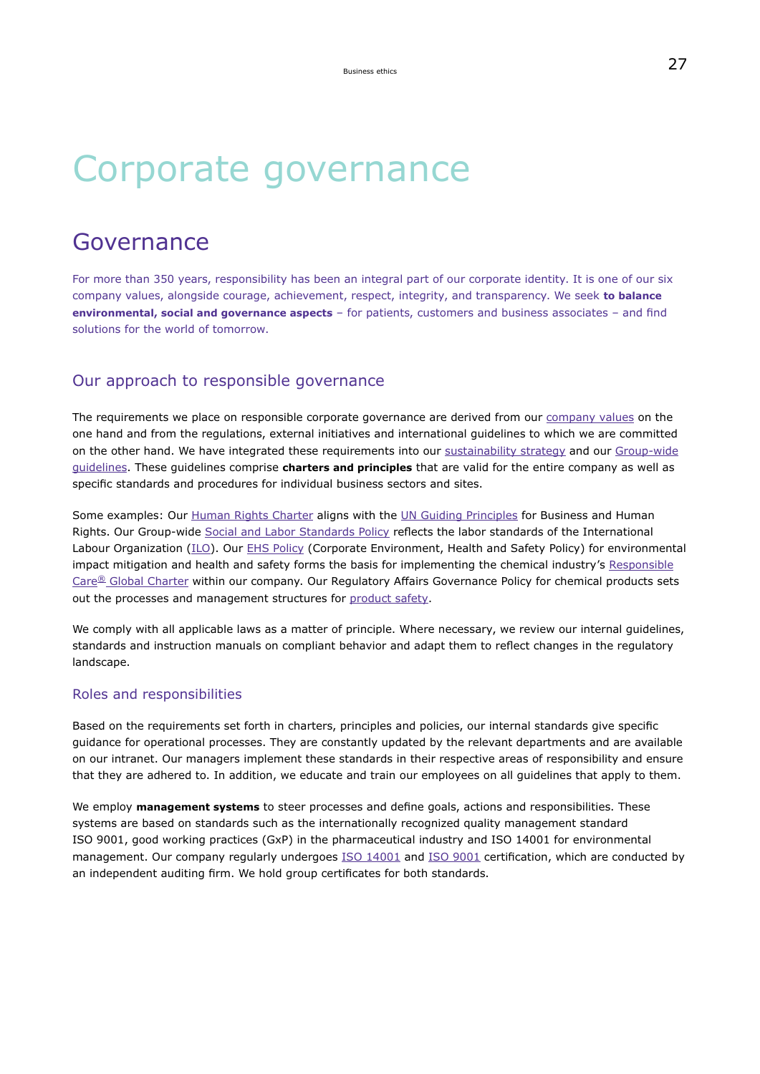# Corporate governance

## Governance

For more than 350 years, responsibility has been an integral part of our corporate identity. It is one of our six company values, alongside courage, achievement, respect, integrity, and transparency. We seek **to balance environmental, social and governance aspects** – for patients, customers and business associates – and find solutions for the world of tomorrow.

### Our approach to responsible governance

The requirements we place on responsible corporate governance are derived from our [company values](https://www.emdgroup.com/en/company/strategy-and-values.html) on the one hand and from the regulations, external initiatives and international guidelines to which we are committed on the other hand. We have integrated these requirements into our [sustainability strategy](#page-10-0) and our [Group-wide](https://www.emdgroup.com/en/sustainability/reports-and-guidelines.html) [guidelines.](https://www.emdgroup.com/en/sustainability/reports-and-guidelines.html) These guidelines comprise **charters and principles** that are valid for the entire company as well as specific standards and procedures for individual business sectors and sites.

Some examples: Our [Human Rights Charter](https://www.emdgroup.com/content/dam/web/corporate/non-images/company/responsibility/us/Merck_KGaA_Darmstadt_Germany_Human_Rights_Charter.pdf) aligns with the [UN Guiding Principles](https://www.ohchr.org/documents/publications/guidingprinciplesbusinesshr_en.pdf) for Business and Human Rights. Our Group-wide [Social and Labor Standards Policy](https://www.emdgroup.com/content/dam/web/corporate/non-images/company/responsibility/us/regulations-and-guidelines/Social-and-Labor-Standards-Policy-Website-US.pdf) reflects the labor standards of the International Labour Organization [\(ILO\)](https://www.ilo.org/global/lang--en/index.htm). Our [EHS Policy](https://www.emdgroup.com/content/dam/web/corporate/non-images/company/responsibility/us/EMD_EHS-Policy_US.pdf) (Corporate Environment, Health and Safety Policy) for environmental impact mitigation and health and safety forms the basis for implementing the chemical industry's [Responsible](https://www.vci.de/vci/downloads-vci/se/icca-responsible-care-global-charter-commitment-may-2014.pdf) Care<sup>[®](https://www.vci.de/vci/downloads-vci/se/icca-responsible-care-global-charter-commitment-may-2014.pdf)</sup> [Global Charter](https://www.vci.de/vci/downloads-vci/se/icca-responsible-care-global-charter-commitment-may-2014.pdf) within our company. Our Regulatory Affairs Governance Policy for chemical products sets out the processes and management structures for [product safety.](#page-102-0)

We comply with all applicable laws as a matter of principle. Where necessary, we review our internal guidelines, standards and instruction manuals on compliant behavior and adapt them to reflect changes in the regulatory landscape.

#### Roles and responsibilities

Based on the requirements set forth in charters, principles and policies, our internal standards give specific guidance for operational processes. They are constantly updated by the relevant departments and are available on our intranet. Our managers implement these standards in their respective areas of responsibility and ensure that they are adhered to. In addition, we educate and train our employees on all guidelines that apply to them.

We employ **management systems** to steer processes and define goals, actions and responsibilities. These systems are based on standards such as the internationally recognized quality management standard ISO 9001, good working practices (GxP) in the pharmaceutical industry and ISO 14001 for environmental management. Our company regularly undergoes ISO [14001](https://www.emdgroup.com/content/dam/web/corporate/non-images/company/responsibility/en/regulations-and-guidelines/Certificate-DIN-EN-ISO-14001-EN.pdf) and ISO [9001](https://www.emdgroup.com/content/dam/web/corporate/non-images/company/responsibility/us/regulations-and-guidelines/Certificate-ISO-9001-2015.pdf) certification, which are conducted by an independent auditing firm. We hold group certificates for both standards.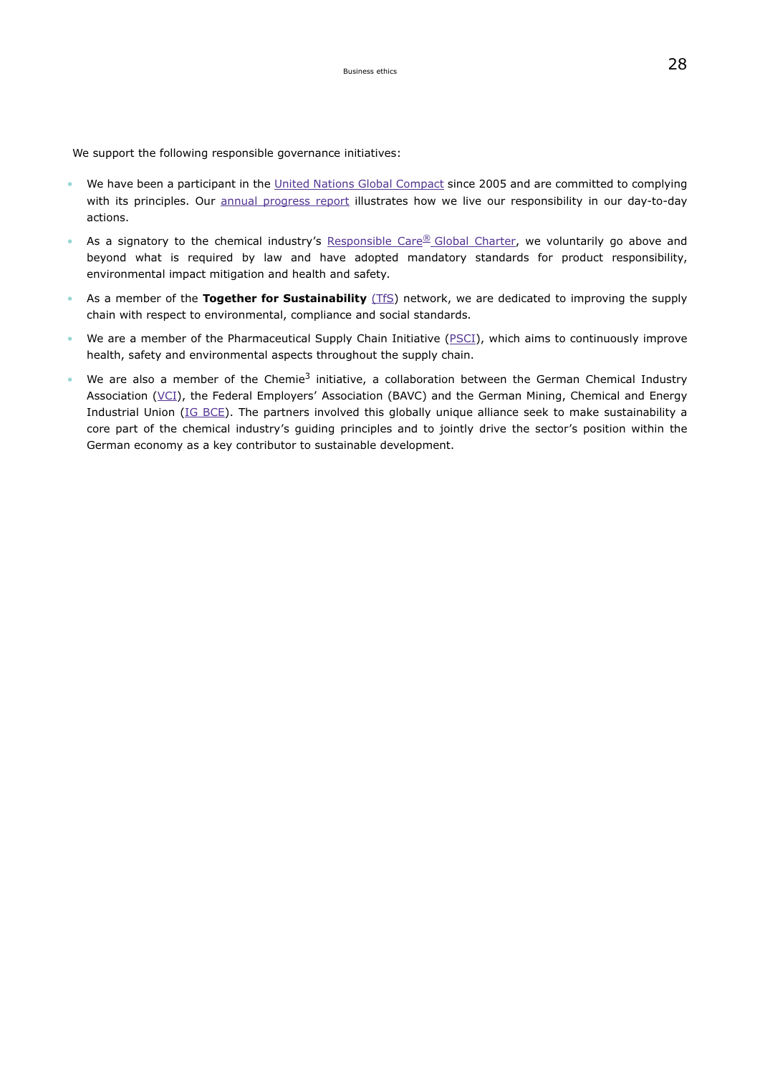We support the following responsible governance initiatives:

- We have been a participant in the [United Nations Global Compact](https://www.unglobalcompact.org/) since 2005 and are committed to complying with its principles. Our [annual progress report](#page-236-0) illustrates how we live our responsibility in our day-to-day actions.
- As a signatory to the chemical industry's [Responsible Care](https://www.vci.de/vci/downloads-vci/se/icca-responsible-care-global-charter-commitment-may-2014.pdf)<sup>[®](https://www.vci.de/vci/downloads-vci/se/icca-responsible-care-global-charter-commitment-may-2014.pdf)</sup> Global Charter, we voluntarily go above and beyond what is required by law and have adopted mandatory standards for product responsibility, environmental impact mitigation and health and safety.
- As a member of the **Together for Sustainability** [\(TfS\)](https://tfs-initiative.com/) network, we are dedicated to improving the supply chain with respect to environmental, compliance and social standards.
- We are a member of the Pharmaceutical Supply Chain Initiative [\(PSCI\)](https://pscinitiative.org/home), which aims to continuously improve health, safety and environmental aspects throughout the supply chain.
- We are also a member of the Chemie<sup>3</sup> initiative, a collaboration between the German Chemical Industry Association [\(VCI\)](https://www.vci.de/english-documents/listenseite.jsp), the Federal Employers' Association (BAVC) and the German Mining, Chemical and Energy Industrial Union ([IG BCE](https://igbce.de/resource/blob/29768/f616a140a38723b6e525a6dee091c201/leistungen-der-ig-bce-englisch--data.pdf)). The partners involved this globally unique alliance seek to make sustainability a core part of the chemical industry's guiding principles and to jointly drive the sector's position within the German economy as a key contributor to sustainable development.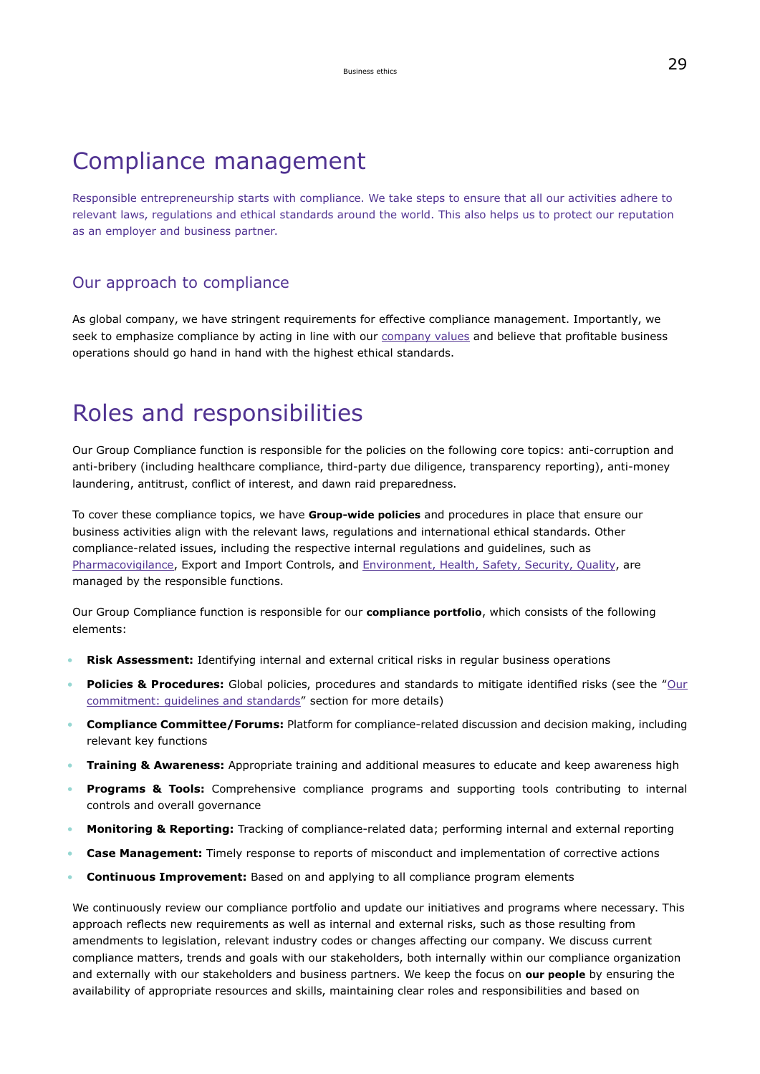## Compliance management

Responsible entrepreneurship starts with compliance. We take steps to ensure that all our activities adhere to relevant laws, regulations and ethical standards around the world. This also helps us to protect our reputation as an employer and business partner.

## Our approach to compliance

As global company, we have stringent requirements for effective compliance management. Importantly, we seek to emphasize compliance by acting in line with our [company values](https://www.emdgroup.com/en/company/who-we-are/strategy-and-values.html) and believe that profitable business operations should go hand in hand with the highest ethical standards.

## Roles and responsibilities

Our Group Compliance function is responsible for the policies on the following core topics: anti-corruption and anti-bribery (including healthcare compliance, third-party due diligence, transparency reporting), anti-money laundering, antitrust, conflict of interest, and dawn raid preparedness.

To cover these compliance topics, we have **Group-wide policies** and procedures in place that ensure our business activities align with the relevant laws, regulations and international ethical standards. Other compliance-related issues, including the respective internal regulations and guidelines, such as [Pharmacovigilance](#page-105-0), Export and Import Controls, and [Environment, Health, Safety, Security, Quality](#page-139-0), are managed by the responsible functions.

Our Group Compliance function is responsible for our **compliance portfolio**, which consists of the following elements:

- **Risk Assessment:** Identifying internal and external critical risks in regular business operations
- **Policies & Procedures:** Global policies, procedures and standards to mitigate identified risks (see the "[Our](#page-29-0) [commitment: guidelines and standards"](#page-29-0) section for more details)
- **Compliance Committee/Forums:** Platform for compliance-related discussion and decision making, including relevant key functions
- **Training & Awareness:** Appropriate training and additional measures to educate and keep awareness high
- **Programs & Tools:** Comprehensive compliance programs and supporting tools contributing to internal controls and overall governance
- **Monitoring & Reporting:** Tracking of compliance-related data; performing internal and external reporting
- **Case Management:** Timely response to reports of misconduct and implementation of corrective actions
- **Continuous Improvement:** Based on and applying to all compliance program elements

We continuously review our compliance portfolio and update our initiatives and programs where necessary. This approach reflects new requirements as well as internal and external risks, such as those resulting from amendments to legislation, relevant industry codes or changes affecting our company. We discuss current compliance matters, trends and goals with our stakeholders, both internally within our compliance organization and externally with our stakeholders and business partners. We keep the focus on **our people** by ensuring the availability of appropriate resources and skills, maintaining clear roles and responsibilities and based on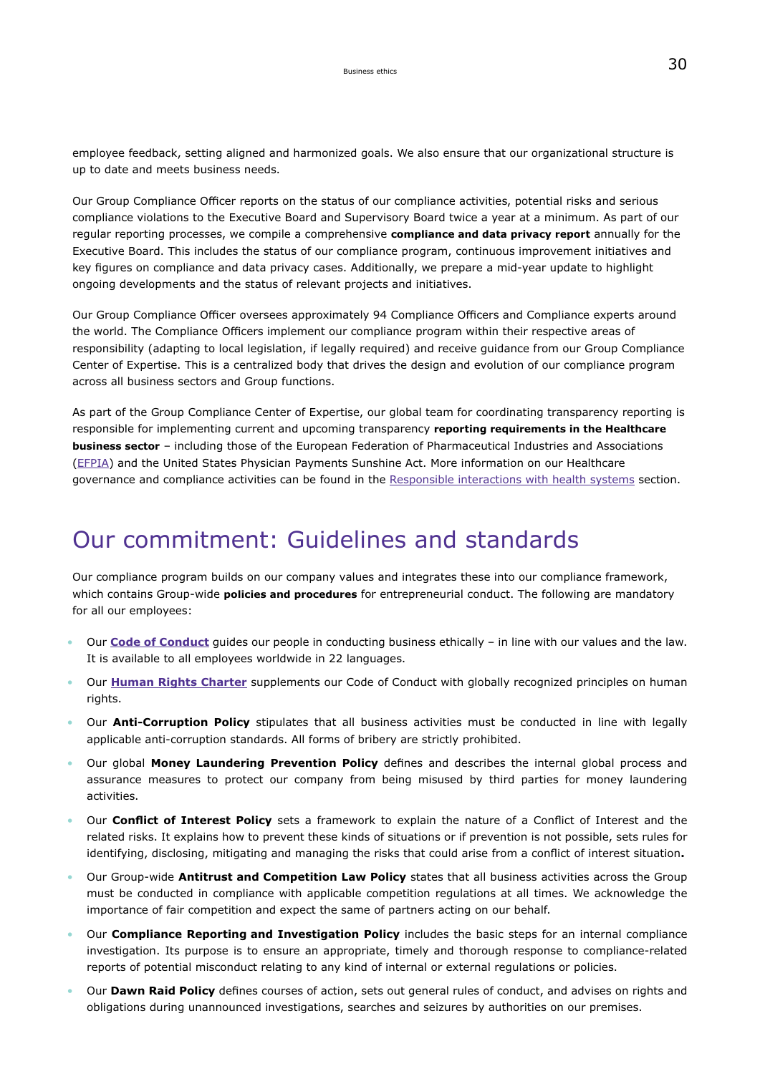employee feedback, setting aligned and harmonized goals. We also ensure that our organizational structure is up to date and meets business needs.

Our Group Compliance Officer reports on the status of our compliance activities, potential risks and serious compliance violations to the Executive Board and Supervisory Board twice a year at a minimum. As part of our regular reporting processes, we compile a comprehensive **compliance and data privacy report** annually for the Executive Board. This includes the status of our compliance program, continuous improvement initiatives and key figures on compliance and data privacy cases. Additionally, we prepare a mid-year update to highlight ongoing developments and the status of relevant projects and initiatives.

Our Group Compliance Officer oversees approximately 94 Compliance Officers and Compliance experts around the world. The Compliance Officers implement our compliance program within their respective areas of responsibility (adapting to local legislation, if legally required) and receive guidance from our Group Compliance Center of Expertise. This is a centralized body that drives the design and evolution of our compliance program across all business sectors and Group functions.

As part of the Group Compliance Center of Expertise, our global team for coordinating transparency reporting is responsible for implementing current and upcoming transparency **reporting requirements in the Healthcare business sector** – including those of the European Federation of Pharmaceutical Industries and Associations ([EFPIA](https://www.efpia.eu/)) and the United States Physician Payments Sunshine Act. More information on our Healthcare governance and compliance activities can be found in the [Responsible interactions with health systems](#page-35-0) section.

## Our commitment: Guidelines and standards

Our compliance program builds on our company values and integrates these into our compliance framework, which contains Group-wide **policies and procedures** for entrepreneurial conduct. The following are mandatory for all our employees:

- Our **[Code of Conduct](https://www.emdgroup.com/content/dam/web/corporate/non-images/company/responsibility/us/regulations-and-guidelines/code-of-conduct.pdf)** guides our people in conducting business ethically in line with our values and the law. It is available to all employees worldwide in 22 languages.
- Our **[Human Rights Charter](https://www.emdgroup.com/content/dam/web/corporate/non-images/company/responsibility/us/Merck_KGaA_Darmstadt_Germany_Human_Rights_Charter.pdf)** supplements our Code of Conduct with globally recognized principles on human rights.
- Our **Anti-Corruption Policy** stipulates that all business activities must be conducted in line with legally applicable anti-corruption standards. All forms of bribery are strictly prohibited.
- Our global **Money Laundering Prevention Policy** defines and describes the internal global process and assurance measures to protect our company from being misused by third parties for money laundering activities.
- Our **Conflict of Interest Policy** sets a framework to explain the nature of a Conflict of Interest and the related risks. It explains how to prevent these kinds of situations or if prevention is not possible, sets rules for identifying, disclosing, mitigating and managing the risks that could arise from a conflict of interest situation**.**
- Our Group-wide **Antitrust and Competition Law Policy** states that all business activities across the Group must be conducted in compliance with applicable competition regulations at all times. We acknowledge the importance of fair competition and expect the same of partners acting on our behalf.
- Our **Compliance Reporting and Investigation Policy** includes the basic steps for an internal compliance investigation. Its purpose is to ensure an appropriate, timely and thorough response to compliance-related reports of potential misconduct relating to any kind of internal or external regulations or policies.
- Our **Dawn Raid Policy** defines courses of action, sets out general rules of conduct, and advises on rights and obligations during unannounced investigations, searches and seizures by authorities on our premises.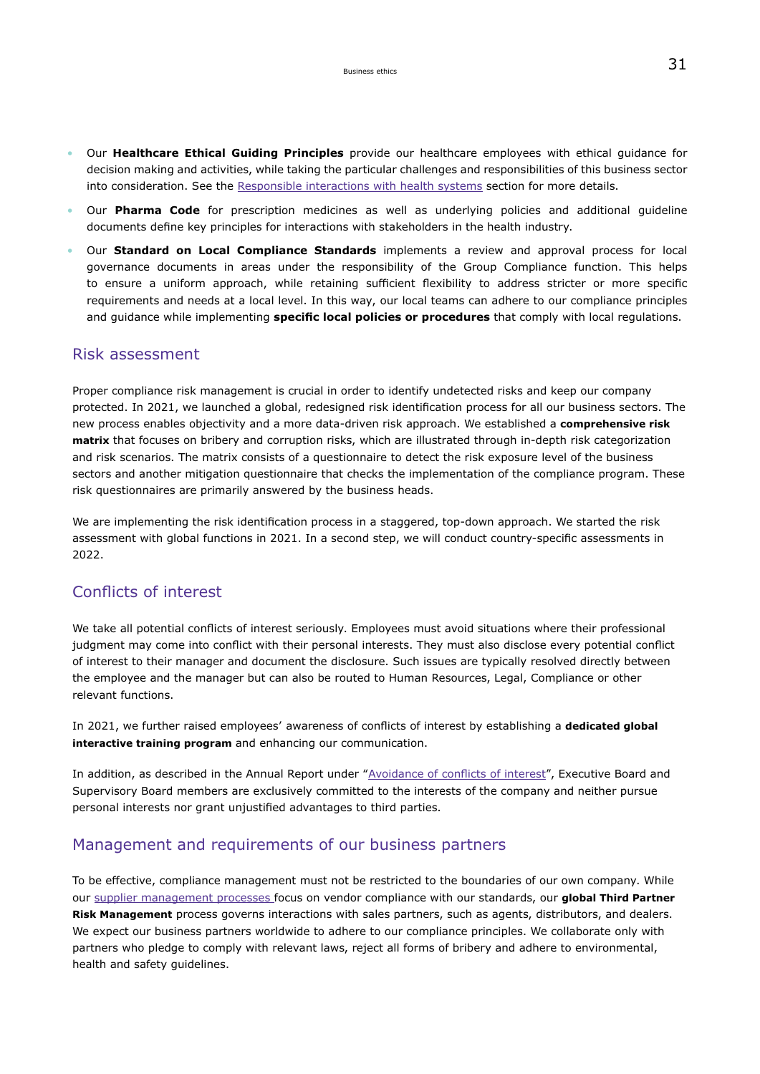- Our **Healthcare Ethical Guiding Principles** provide our healthcare employees with ethical guidance for decision making and activities, while taking the particular challenges and responsibilities of this business sector into consideration. See the [Responsible interactions with health systems](#page-35-0) section for more details.
- Our **Pharma Code** for prescription medicines as well as underlying policies and additional guideline documents define key principles for interactions with stakeholders in the health industry.
- Our **Standard on Local Compliance Standards** implements a review and approval process for local governance documents in areas under the responsibility of the Group Compliance function. This helps to ensure a uniform approach, while retaining sufficient flexibility to address stricter or more specific requirements and needs at a local level. In this way, our local teams can adhere to our compliance principles and guidance while implementing **specific local policies or procedures** that comply with local regulations.

### Risk assessment

Proper compliance risk management is crucial in order to identify undetected risks and keep our company protected. In 2021, we launched a global, redesigned risk identification process for all our business sectors. The new process enables objectivity and a more data-driven risk approach. We established a **comprehensive risk matrix** that focuses on bribery and corruption risks, which are illustrated through in-depth risk categorization and risk scenarios. The matrix consists of a questionnaire to detect the risk exposure level of the business sectors and another mitigation questionnaire that checks the implementation of the compliance program. These risk questionnaires are primarily answered by the business heads.

We are implementing the risk identification process in a staggered, top-down approach. We started the risk assessment with global functions in 2021. In a second step, we will conduct country-specific assessments in 2022.

### Conflicts of interest

We take all potential conflicts of interest seriously. Employees must avoid situations where their professional judgment may come into conflict with their personal interests. They must also disclose every potential conflict of interest to their manager and document the disclosure. Such issues are typically resolved directly between the employee and the manager but can also be routed to Human Resources, Legal, Compliance or other relevant functions.

In 2021, we further raised employees' awareness of conflicts of interest by establishing a **dedicated global interactive training program** and enhancing our communication.

In addition, as described in the Annual Report under "[Avoidance of conflicts of interest"](https://www.emdgroup.com/en/annualreport/2021/corporate-governance/statement-on-corporate-governance/corporate-governance-practices.html), Executive Board and Supervisory Board members are exclusively committed to the interests of the company and neither pursue personal interests nor grant unjustified advantages to third parties.

### Management and requirements of our business partners

To be effective, compliance management must not be restricted to the boundaries of our own company. While our [supplier management processes](#page-41-1) focus on vendor compliance with our standards, our **global Third Partner Risk Management** process governs interactions with sales partners, such as agents, distributors, and dealers. We expect our business partners worldwide to adhere to our compliance principles. We collaborate only with partners who pledge to comply with relevant laws, reject all forms of bribery and adhere to environmental, health and safety guidelines.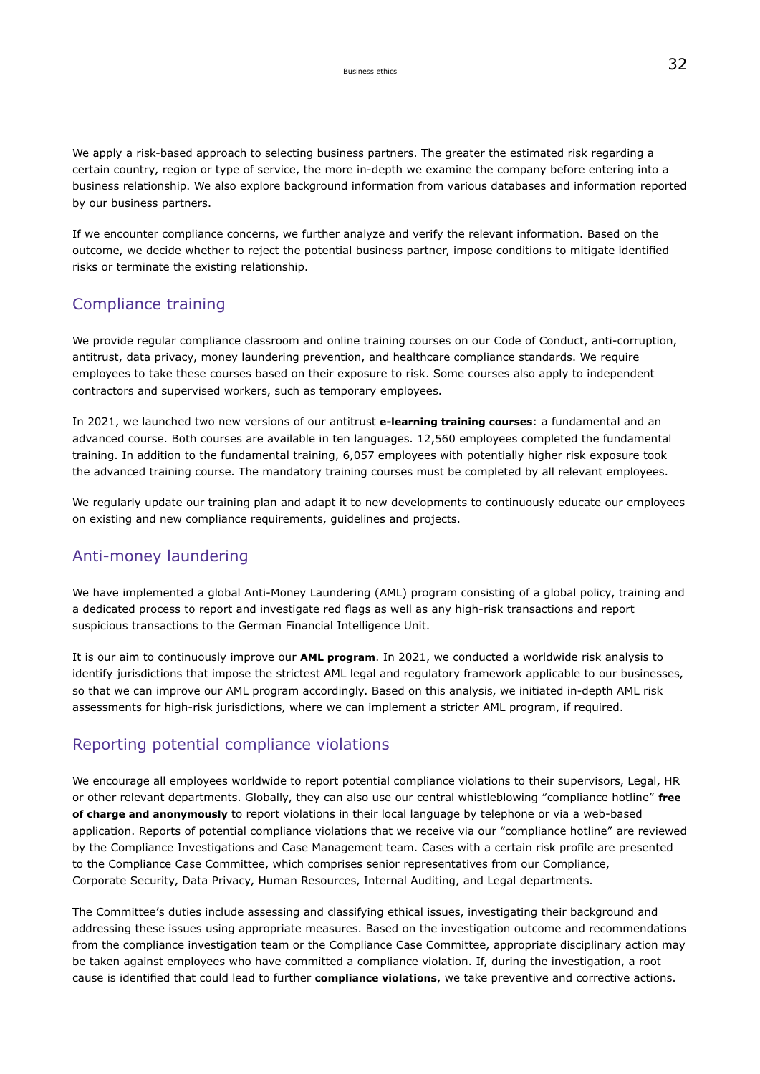We apply a risk-based approach to selecting business partners. The greater the estimated risk regarding a certain country, region or type of service, the more in-depth we examine the company before entering into a business relationship. We also explore background information from various databases and information reported by our business partners.

If we encounter compliance concerns, we further analyze and verify the relevant information. Based on the outcome, we decide whether to reject the potential business partner, impose conditions to mitigate identified risks or terminate the existing relationship.

## Compliance training

We provide regular compliance classroom and online training courses on our Code of Conduct, anti-corruption, antitrust, data privacy, money laundering prevention, and healthcare compliance standards. We require employees to take these courses based on their exposure to risk. Some courses also apply to independent contractors and supervised workers, such as temporary employees.

In 2021, we launched two new versions of our antitrust **e-learning training courses**: a fundamental and an advanced course. Both courses are available in ten languages. 12,560 employees completed the fundamental training. In addition to the fundamental training, 6,057 employees with potentially higher risk exposure took the advanced training course. The mandatory training courses must be completed by all relevant employees.

We regularly update our training plan and adapt it to new developments to continuously educate our employees on existing and new compliance requirements, guidelines and projects.

## Anti-money laundering

We have implemented a global Anti-Money Laundering (AML) program consisting of a global policy, training and a dedicated process to report and investigate red flags as well as any high-risk transactions and report suspicious transactions to the German Financial Intelligence Unit.

It is our aim to continuously improve our **AML program**. In 2021, we conducted a worldwide risk analysis to identify jurisdictions that impose the strictest AML legal and regulatory framework applicable to our businesses, so that we can improve our AML program accordingly. Based on this analysis, we initiated in-depth AML risk assessments for high-risk jurisdictions, where we can implement a stricter AML program, if required.

## Reporting potential compliance violations

We encourage all employees worldwide to report potential compliance violations to their supervisors, Legal, HR or other relevant departments. Globally, they can also use our central whistleblowing "compliance hotline" **free of charge and anonymously** to report violations in their local language by telephone or via a web-based application. Reports of potential compliance violations that we receive via our "compliance hotline" are reviewed by the Compliance Investigations and Case Management team. Cases with a certain risk profile are presented to the Compliance Case Committee, which comprises senior representatives from our Compliance, Corporate Security, Data Privacy, Human Resources, Internal Auditing, and Legal departments.

The Committee's duties include assessing and classifying ethical issues, investigating their background and addressing these issues using appropriate measures. Based on the investigation outcome and recommendations from the compliance investigation team or the Compliance Case Committee, appropriate disciplinary action may be taken against employees who have committed a compliance violation. If, during the investigation, a root cause is identified that could lead to further **compliance violations**, we take preventive and corrective actions.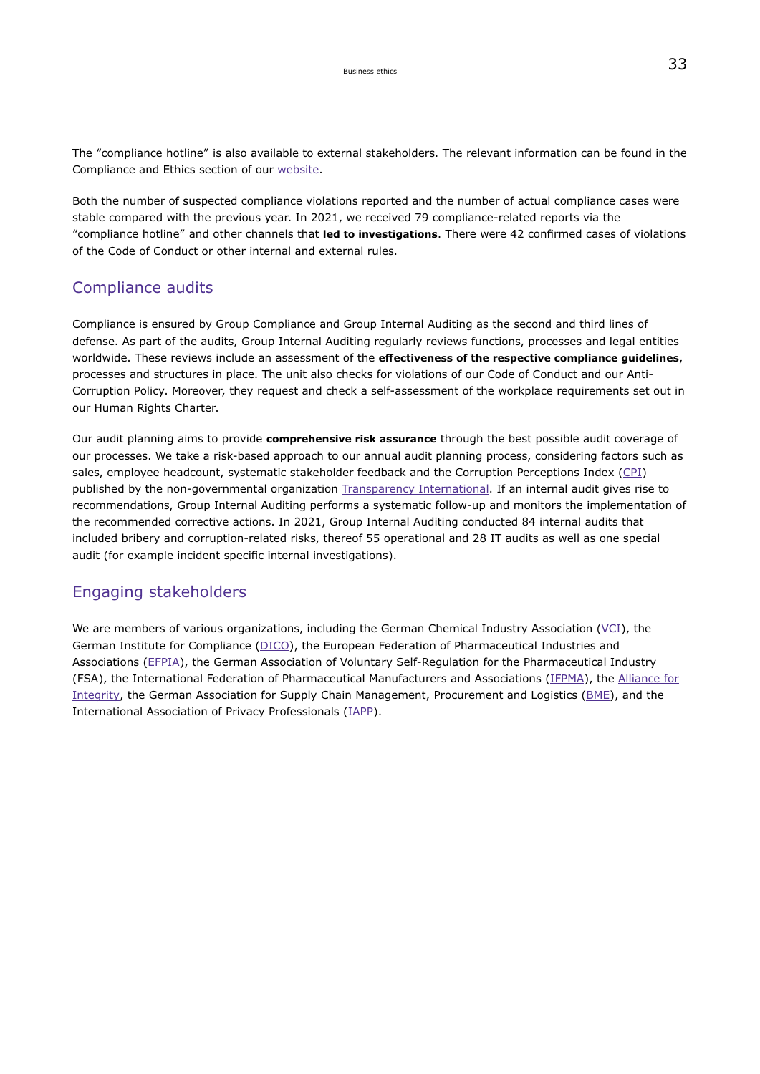The "compliance hotline" is also available to external stakeholders. The relevant information can be found in the Compliance and Ethics section of our [website.](https://www.emdgroup.com/en/sustainability/products-and-businesses/compliance-and-ethics.html)

Both the number of suspected compliance violations reported and the number of actual compliance cases were stable compared with the previous year. In 2021, we received 79 compliance-related reports via the "compliance hotline" and other channels that **led to investigations**. There were 42 confirmed cases of violations of the Code of Conduct or other internal and external rules.

### Compliance audits

Compliance is ensured by Group Compliance and Group Internal Auditing as the second and third lines of defense. As part of the audits, Group Internal Auditing regularly reviews functions, processes and legal entities worldwide. These reviews include an assessment of the **effectiveness of the respective compliance guidelines**, processes and structures in place. The unit also checks for violations of our Code of Conduct and our Anti-Corruption Policy. Moreover, they request and check a self-assessment of the workplace requirements set out in our Human Rights Charter.

Our audit planning aims to provide **comprehensive risk assurance** through the best possible audit coverage of our processes. We take a risk-based approach to our annual audit planning process, considering factors such as sales, employee headcount, systematic stakeholder feedback and the Corruption Perceptions Index [\(CPI\)](https://www.transparency.org/research/cpi/overview) published by the non-governmental organization [Transparency International](https://www.transparency.de/en/). If an internal audit gives rise to recommendations, Group Internal Auditing performs a systematic follow-up and monitors the implementation of the recommended corrective actions. In 2021, Group Internal Auditing conducted 84 internal audits that included bribery and corruption-related risks, thereof 55 operational and 28 IT audits as well as one special audit (for example incident specific internal investigations).

### Engaging stakeholders

We are members of various organizations, including the German Chemical Industry Association ( $VCI$ ), the German Institute for Compliance ([DICO\)](http://www.dico-ev.com/), the European Federation of Pharmaceutical Industries and Associations ([EFPIA\)](https://www.efpia.eu/), the German Association of Voluntary Self-Regulation for the Pharmaceutical Industry (FSA), the International Federation of Pharmaceutical Manufacturers and Associations [\(IFPMA\)](https://www.ifpma.org/), the [Alliance for](https://www.allianceforintegrity.org/en/) [Integrity,](https://www.allianceforintegrity.org/en/) the German Association for Supply Chain Management, Procurement and Logistics [\(BME\)](https://www.bme.de/en/association-supply-chain-management-procurement-and-logistics/), and the International Association of Privacy Professionals ([IAPP](https://iapp.org/)).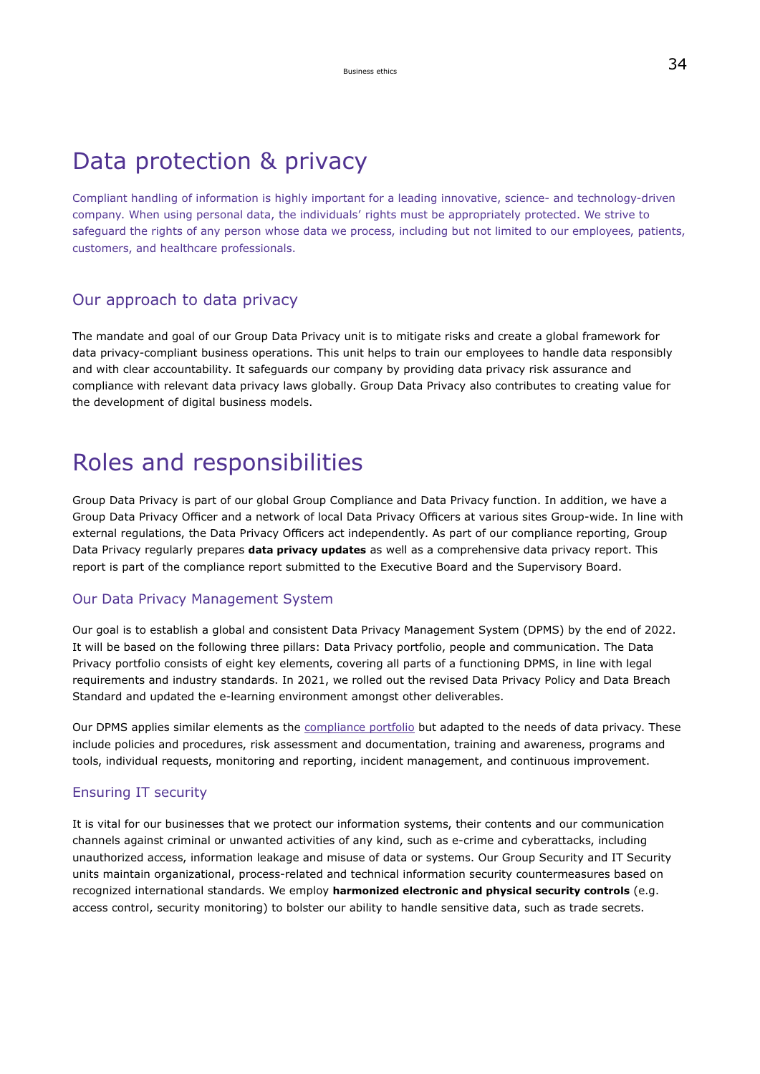## Data protection & privacy

Compliant handling of information is highly important for a leading innovative, science- and technology-driven company. When using personal data, the individuals' rights must be appropriately protected. We strive to safeguard the rights of any person whose data we process, including but not limited to our employees, patients, customers, and healthcare professionals.

### Our approach to data privacy

The mandate and goal of our Group Data Privacy unit is to mitigate risks and create a global framework for data privacy-compliant business operations. This unit helps to train our employees to handle data responsibly and with clear accountability. It safeguards our company by providing data privacy risk assurance and compliance with relevant data privacy laws globally. Group Data Privacy also contributes to creating value for the development of digital business models.

## Roles and responsibilities

Group Data Privacy is part of our global Group Compliance and Data Privacy function. In addition, we have a Group Data Privacy Officer and a network of local Data Privacy Officers at various sites Group-wide. In line with external regulations, the Data Privacy Officers act independently. As part of our compliance reporting, Group Data Privacy regularly prepares **data privacy updates** as well as a comprehensive data privacy report. This report is part of the compliance report submitted to the Executive Board and the Supervisory Board.

### Our Data Privacy Management System

Our goal is to establish a global and consistent Data Privacy Management System (DPMS) by the end of 2022. It will be based on the following three pillars: Data Privacy portfolio, people and communication. The Data Privacy portfolio consists of eight key elements, covering all parts of a functioning DPMS, in line with legal requirements and industry standards. In 2021, we rolled out the revised Data Privacy Policy and Data Breach Standard and updated the e-learning environment amongst other deliverables.

Our DPMS applies similar elements as the [compliance portfolio](#page-28-0) but adapted to the needs of data privacy. These include policies and procedures, risk assessment and documentation, training and awareness, programs and tools, individual requests, monitoring and reporting, incident management, and continuous improvement.

### Ensuring IT security

It is vital for our businesses that we protect our information systems, their contents and our communication channels against criminal or unwanted activities of any kind, such as e-crime and cyberattacks, including unauthorized access, information leakage and misuse of data or systems. Our Group Security and IT Security units maintain organizational, process-related and technical information security countermeasures based on recognized international standards. We employ **harmonized electronic and physical security controls** (e.g. access control, security monitoring) to bolster our ability to handle sensitive data, such as trade secrets.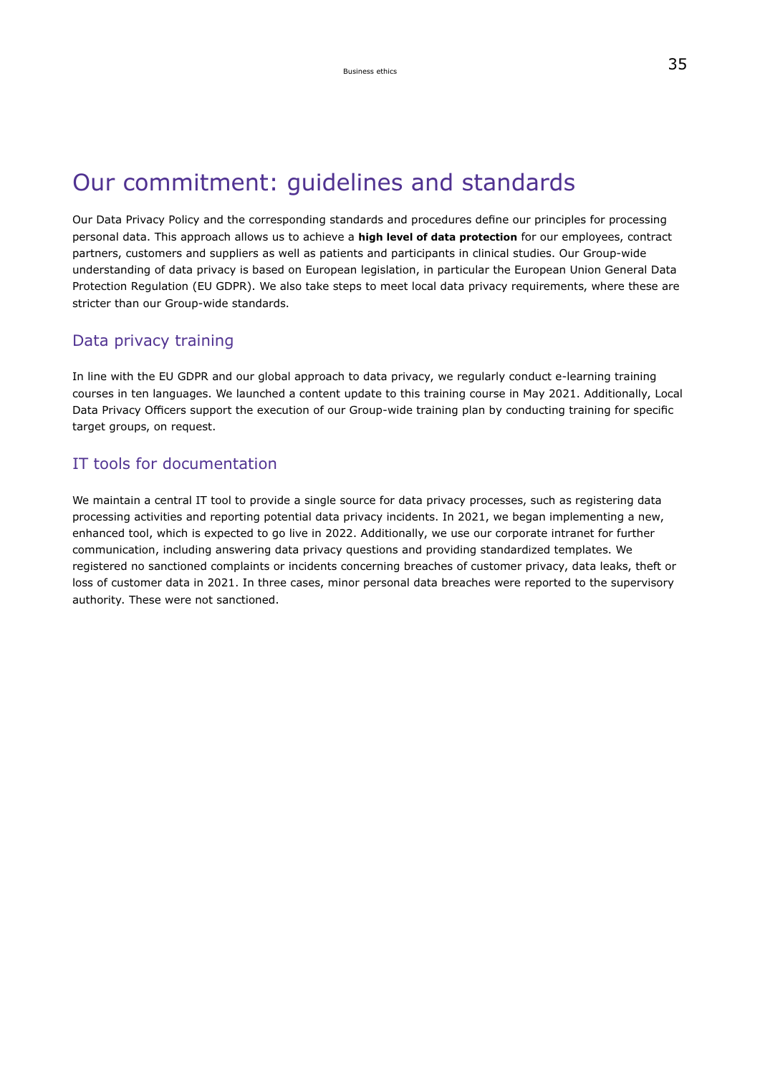# Our commitment: guidelines and standards

Our Data Privacy Policy and the corresponding standards and procedures define our principles for processing personal data. This approach allows us to achieve a **high level of data protection** for our employees, contract partners, customers and suppliers as well as patients and participants in clinical studies. Our Group-wide understanding of data privacy is based on European legislation, in particular the European Union General Data Protection Regulation (EU GDPR). We also take steps to meet local data privacy requirements, where these are stricter than our Group-wide standards.

### Data privacy training

In line with the EU GDPR and our global approach to data privacy, we regularly conduct e-learning training courses in ten languages. We launched a content update to this training course in May 2021. Additionally, Local Data Privacy Officers support the execution of our Group-wide training plan by conducting training for specific target groups, on request.

### IT tools for documentation

We maintain a central IT tool to provide a single source for data privacy processes, such as registering data processing activities and reporting potential data privacy incidents. In 2021, we began implementing a new, enhanced tool, which is expected to go live in 2022. Additionally, we use our corporate intranet for further communication, including answering data privacy questions and providing standardized templates. We registered no sanctioned complaints or incidents concerning breaches of customer privacy, data leaks, theft or loss of customer data in 2021. In three cases, minor personal data breaches were reported to the supervisory authority. These were not sanctioned.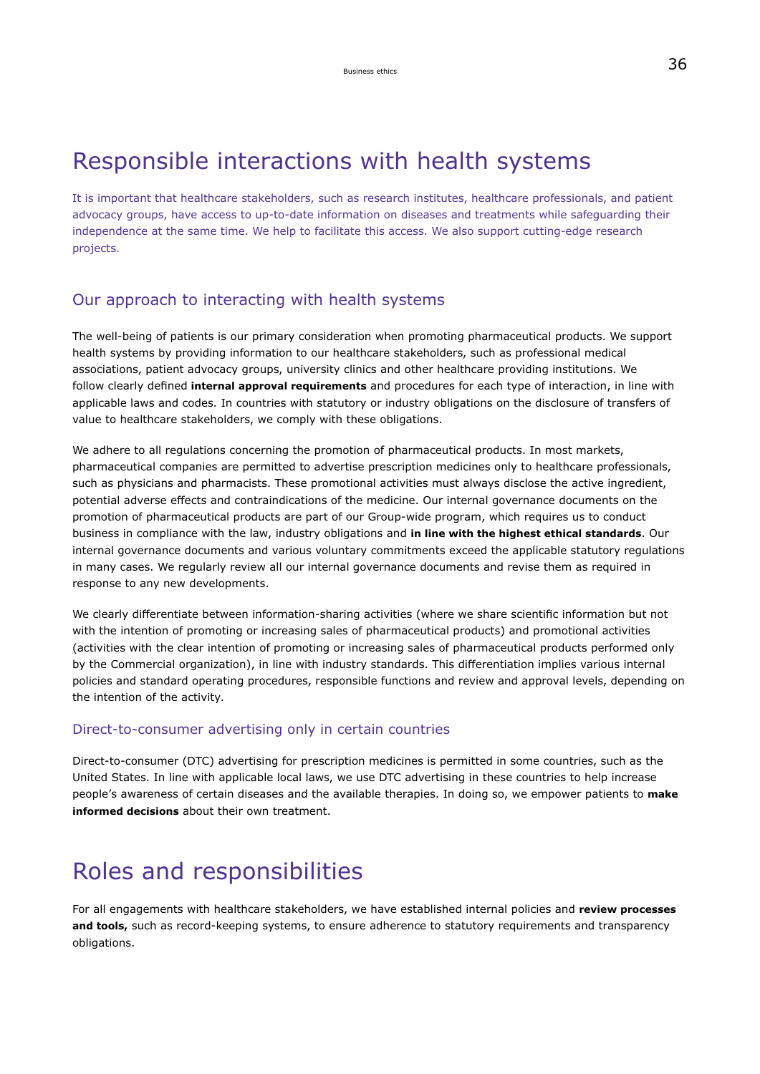## <span id="page-10-0"></span>Responsible interactions with health systems

It is important that healthcare stakeholders, such as research institutes, healthcare professionals, and patient advocacy groups, have access to up-to-date information on diseases and treatments while safeguarding their independence at the same time. We help to facilitate this access. We also support cutting-edge research projects.

### Our approach to interacting with health systems

The well-being of patients is our primary consideration when promoting pharmaceutical products. We support health systems by providing information to our healthcare stakeholders, such as professional medical associations, patient advocacy groups, university clinics and other healthcare providing institutions. We follow clearly defined **internal approval requirements** and procedures for each type of interaction, in line with applicable laws and codes. In countries with statutory or industry obligations on the disclosure of transfers of value to healthcare stakeholders, we comply with these obligations.

We adhere to all regulations concerning the promotion of pharmaceutical products. In most markets, pharmaceutical companies are permitted to advertise prescription medicines only to healthcare professionals, such as physicians and pharmacists. These promotional activities must always disclose the active ingredient, potential adverse effects and contraindications of the medicine. Our internal governance documents on the promotion of pharmaceutical products are part of our Group-wide program, which requires us to conduct business in compliance with the law, industry obligations and **in line with the highest ethical standards**. Our internal governance documents and various voluntary commitments exceed the applicable statutory regulations in many cases. We regularly review all our internal governance documents and revise them as required in response to any new developments.

We clearly differentiate between information-sharing activities (where we share scientific information but not with the intention of promoting or increasing sales of pharmaceutical products) and promotional activities (activities with the clear intention of promoting or increasing sales of pharmaceutical products performed only by the Commercial organization), in line with industry standards. This differentiation implies various internal policies and standard operating procedures, responsible functions and review and approval levels, depending on the intention of the activity.

### Direct-to-consumer advertising only in certain countries

Direct-to-consumer (DTC) advertising for prescription medicines is permitted in some countries, such as the United States. In line with applicable local laws, we use DTC advertising in these countries to help increase people's awareness of certain diseases and the available therapies. In doing so, we empower patients to **make informed decisions** about their own treatment.

# Roles and responsibilities

For all engagements with healthcare stakeholders, we have established internal policies and **review processes and tools,** such as record-keeping systems, to ensure adherence to statutory requirements and transparency obligations.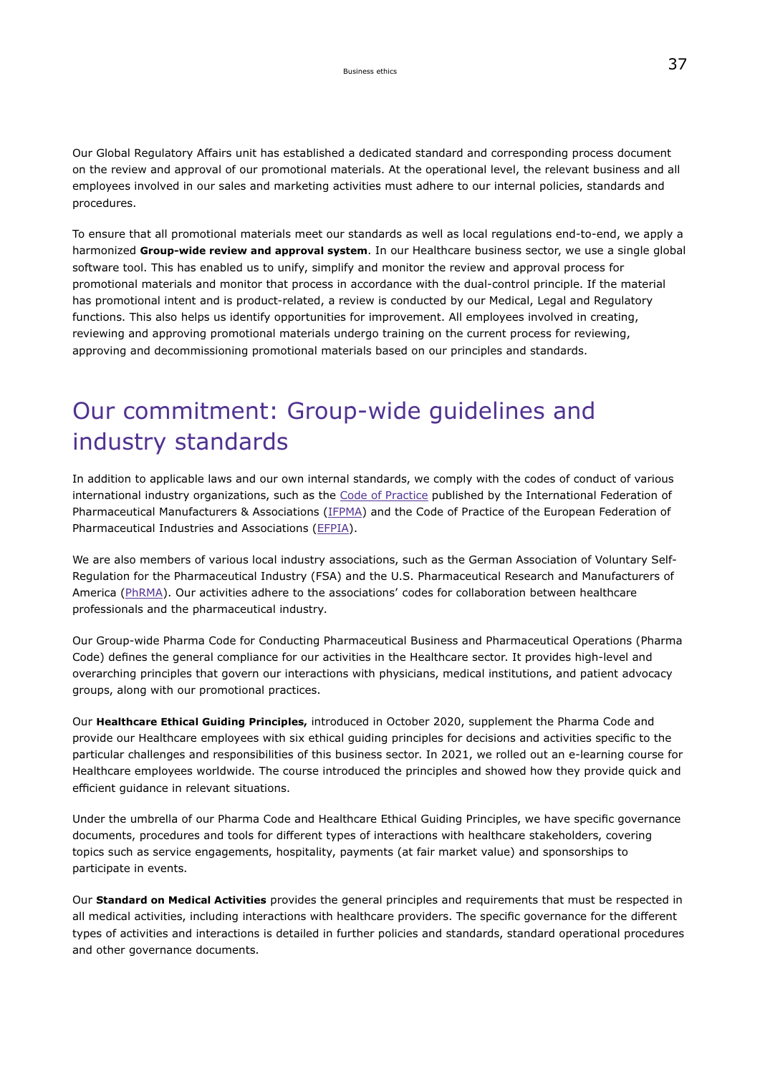Our Global Regulatory Affairs unit has established a dedicated standard and corresponding process document on the review and approval of our promotional materials. At the operational level, the relevant business and all employees involved in our sales and marketing activities must adhere to our internal policies, standards and procedures.

To ensure that all promotional materials meet our standards as well as local regulations end-to-end, we apply a harmonized **Group-wide review and approval system**. In our Healthcare business sector, we use a single global software tool. This has enabled us to unify, simplify and monitor the review and approval process for promotional materials and monitor that process in accordance with the dual-control principle. If the material has promotional intent and is product-related, a review is conducted by our Medical, Legal and Regulatory functions. This also helps us identify opportunities for improvement. All employees involved in creating, reviewing and approving promotional materials undergo training on the current process for reviewing, approving and decommissioning promotional materials based on our principles and standards.

## Our commitment: Group-wide guidelines and industry standards

In addition to applicable laws and our own internal standards, we comply with the codes of conduct of various international industry organizations, such as the [Code of Practice](https://www.ifpma.org/subtopics/new-ifpma-code-of-practice-2019/) published by the International Federation of Pharmaceutical Manufacturers & Associations [\(IFPMA\)](https://www.ifpma.org/) and the Code of Practice of the European Federation of Pharmaceutical Industries and Associations ([EFPIA](https://www.efpia.eu/)).

We are also members of various local industry associations, such as the German Association of Voluntary Self-Regulation for the Pharmaceutical Industry (FSA) and the U.S. Pharmaceutical Research and Manufacturers of America [\(PhRMA\)](https://www.phrma.org/). Our activities adhere to the associations' codes for collaboration between healthcare professionals and the pharmaceutical industry.

Our Group-wide Pharma Code for Conducting Pharmaceutical Business and Pharmaceutical Operations (Pharma Code) defines the general compliance for our activities in the Healthcare sector. It provides high-level and overarching principles that govern our interactions with physicians, medical institutions, and patient advocacy groups, along with our promotional practices.

Our **Healthcare Ethical Guiding Principles,** introduced in October 2020, supplement the Pharma Code and provide our Healthcare employees with six ethical guiding principles for decisions and activities specific to the particular challenges and responsibilities of this business sector. In 2021, we rolled out an e-learning course for Healthcare employees worldwide. The course introduced the principles and showed how they provide quick and efficient guidance in relevant situations.

Under the umbrella of our Pharma Code and Healthcare Ethical Guiding Principles, we have specific governance documents, procedures and tools for different types of interactions with healthcare stakeholders, covering topics such as service engagements, hospitality, payments (at fair market value) and sponsorships to participate in events.

Our **Standard on Medical Activities** provides the general principles and requirements that must be respected in all medical activities, including interactions with healthcare providers. The specific governance for the different types of activities and interactions is detailed in further policies and standards, standard operational procedures and other governance documents.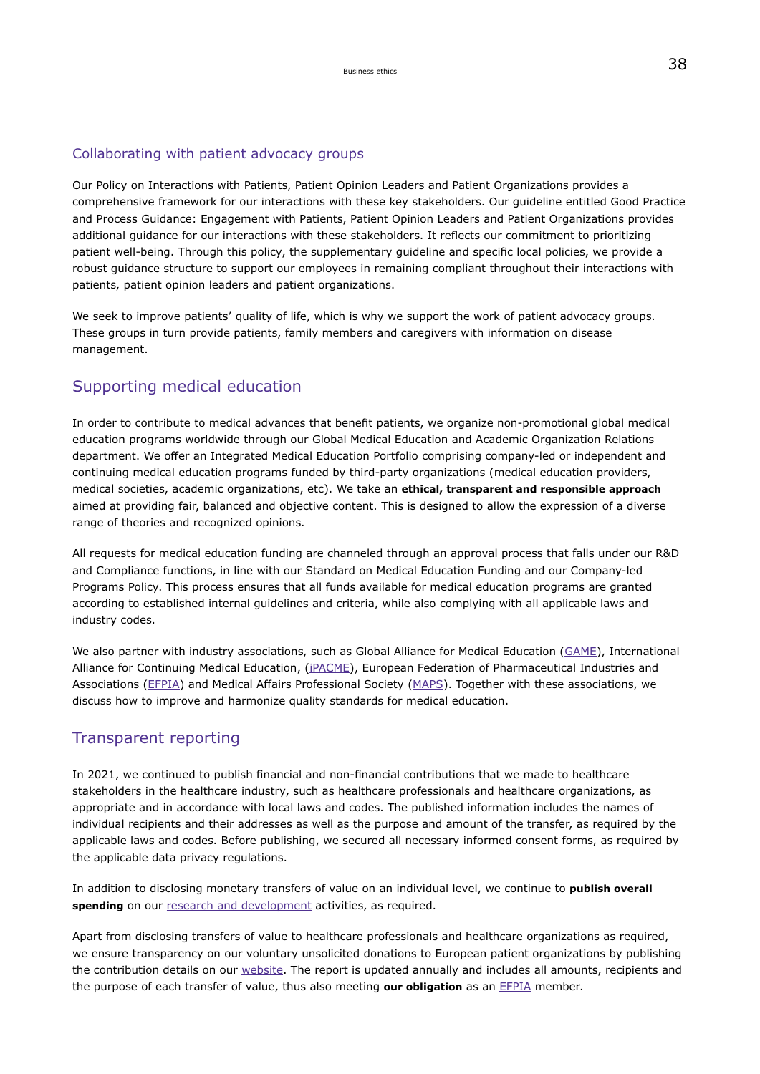### Collaborating with patient advocacy groups

Our Policy on Interactions with Patients, Patient Opinion Leaders and Patient Organizations provides a comprehensive framework for our interactions with these key stakeholders. Our guideline entitled Good Practice and Process Guidance: Engagement with Patients, Patient Opinion Leaders and Patient Organizations provides additional guidance for our interactions with these stakeholders. It reflects our commitment to prioritizing patient well-being. Through this policy, the supplementary guideline and specific local policies, we provide a robust guidance structure to support our employees in remaining compliant throughout their interactions with patients, patient opinion leaders and patient organizations.

We seek to improve patients' quality of life, which is why we support the work of patient advocacy groups. These groups in turn provide patients, family members and caregivers with information on disease management.

### Supporting medical education

In order to contribute to medical advances that benefit patients, we organize non-promotional global medical education programs worldwide through our Global Medical Education and Academic Organization Relations department. We offer an Integrated Medical Education Portfolio comprising company-led or independent and continuing medical education programs funded by third-party organizations (medical education providers, medical societies, academic organizations, etc). We take an **ethical, transparent and responsible approach** aimed at providing fair, balanced and objective content. This is designed to allow the expression of a diverse range of theories and recognized opinions.

All requests for medical education funding are channeled through an approval process that falls under our R&D and Compliance functions, in line with our Standard on Medical Education Funding and our Company-led Programs Policy. This process ensures that all funds available for medical education programs are granted according to established internal guidelines and criteria, while also complying with all applicable laws and industry codes.

We also partner with industry associations, such as Global Alliance for Medical Education [\(GAME](https://www.game-med.net/)), International Alliance for Continuing Medical Education, (*iPACME*), European Federation of Pharmaceutical Industries and Associations ([EFPIA\)](https://www.efpia.eu/) and Medical Affairs Professional Society [\(MAPS](https://medicalaffairs.org/)). Together with these associations, we discuss how to improve and harmonize quality standards for medical education.

### Transparent reporting

In 2021, we continued to publish financial and non-financial contributions that we made to healthcare stakeholders in the healthcare industry, such as healthcare professionals and healthcare organizations, as appropriate and in accordance with local laws and codes. The published information includes the names of individual recipients and their addresses as well as the purpose and amount of the transfer, as required by the applicable laws and codes. Before publishing, we secured all necessary informed consent forms, as required by the applicable data privacy regulations.

In addition to disclosing monetary transfers of value on an individual level, we continue to **publish overall** spending on our [research and development](#page-168-0) activities, as required.

Apart from disclosing transfers of value to healthcare professionals and healthcare organizations as required, we ensure transparency on our voluntary unsolicited donations to European patient organizations by publishing the contribution details on our [website.](https://www.emdgroup.com/en/company/responsibility/how-we-do-business/transparency-in-healthcare/efpia-patient-organisation-reporting.html) The report is updated annually and includes all amounts, recipients and the purpose of each transfer of value, thus also meeting **our obligation** as an [EFPIA](https://www.efpia.eu/) member.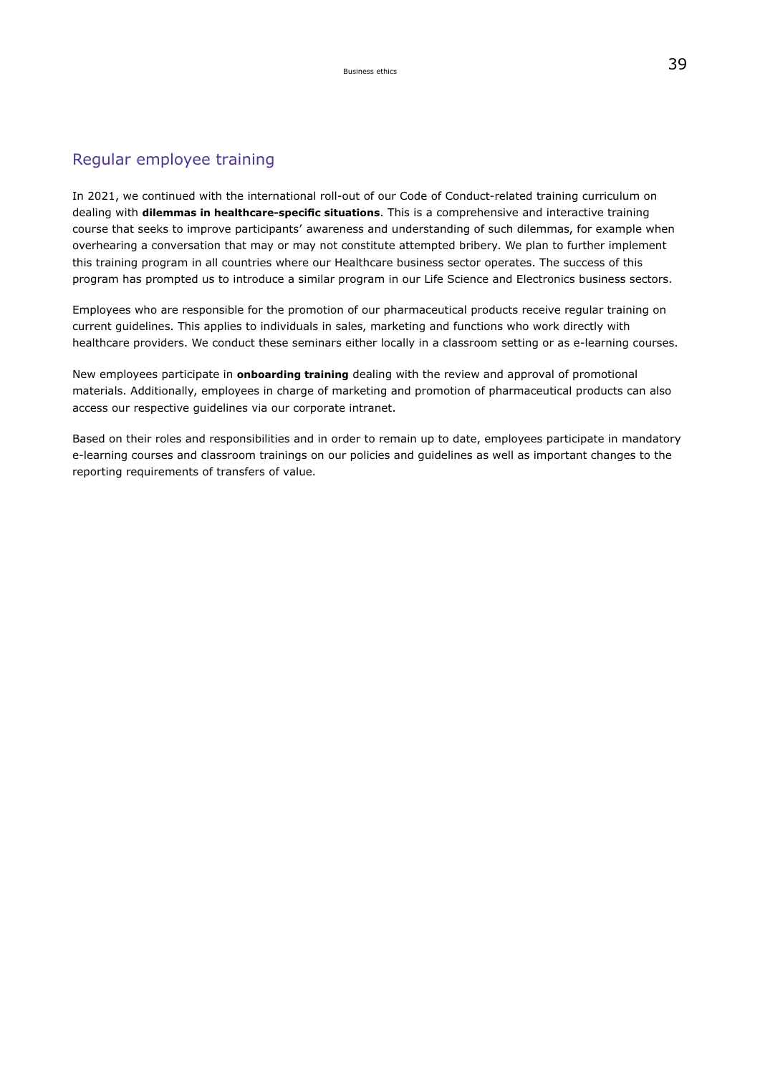## Regular employee training

In 2021, we continued with the international roll-out of our Code of Conduct-related training curriculum on dealing with **dilemmas in healthcare-specific situations**. This is a comprehensive and interactive training course that seeks to improve participants' awareness and understanding of such dilemmas, for example when overhearing a conversation that may or may not constitute attempted bribery. We plan to further implement this training program in all countries where our Healthcare business sector operates. The success of this program has prompted us to introduce a similar program in our Life Science and Electronics business sectors.

Employees who are responsible for the promotion of our pharmaceutical products receive regular training on current guidelines. This applies to individuals in sales, marketing and functions who work directly with healthcare providers. We conduct these seminars either locally in a classroom setting or as e-learning courses.

New employees participate in **onboarding training** dealing with the review and approval of promotional materials. Additionally, employees in charge of marketing and promotion of pharmaceutical products can also access our respective guidelines via our corporate intranet.

Based on their roles and responsibilities and in order to remain up to date, employees participate in mandatory e-learning courses and classroom trainings on our policies and guidelines as well as important changes to the reporting requirements of transfers of value.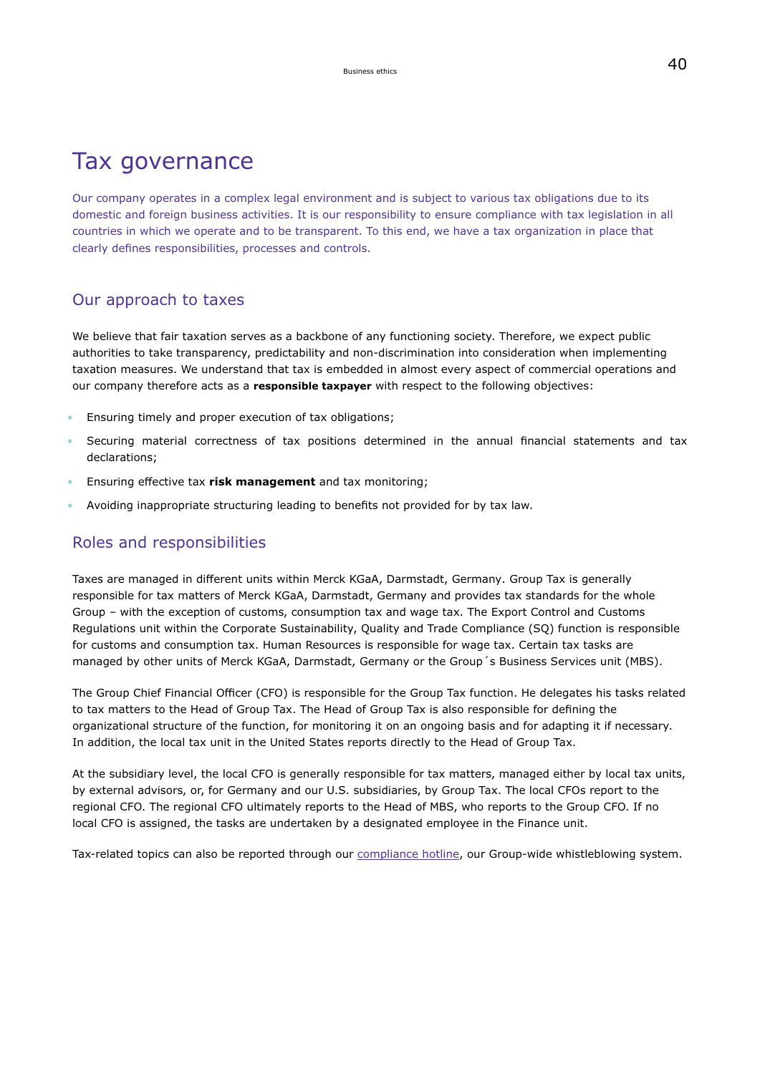## Tax governance

Our company operates in a complex legal environment and is subject to various tax obligations due to its domestic and foreign business activities. It is our responsibility to ensure compliance with tax legislation in all countries in which we operate and to be transparent. To this end, we have a tax organization in place that clearly defines responsibilities, processes and controls.

### Our approach to taxes

We believe that fair taxation serves as a backbone of any functioning society. Therefore, we expect public authorities to take transparency, predictability and non-discrimination into consideration when implementing taxation measures. We understand that tax is embedded in almost every aspect of commercial operations and our company therefore acts as a **responsible taxpayer** with respect to the following objectives:

- Ensuring timely and proper execution of tax obligations;
- Securing material correctness of tax positions determined in the annual financial statements and tax declarations;
- Ensuring effective tax **risk management** and tax monitoring;
- Avoiding inappropriate structuring leading to benefits not provided for by tax law.

## Roles and responsibilities

Taxes are managed in different units within Merck KGaA, Darmstadt, Germany. Group Tax is generally responsible for tax matters of Merck KGaA, Darmstadt, Germany and provides tax standards for the whole Group – with the exception of customs, consumption tax and wage tax. The Export Control and Customs Regulations unit within the Corporate Sustainability, Quality and Trade Compliance (SQ) function is responsible for customs and consumption tax. Human Resources is responsible for wage tax. Certain tax tasks are managed by other units of Merck KGaA, Darmstadt, Germany or the Group´s Business Services unit (MBS).

The Group Chief Financial Officer (CFO) is responsible for the Group Tax function. He delegates his tasks related to tax matters to the Head of Group Tax. The Head of Group Tax is also responsible for defining the organizational structure of the function, for monitoring it on an ongoing basis and for adapting it if necessary. In addition, the local tax unit in the United States reports directly to the Head of Group Tax.

At the subsidiary level, the local CFO is generally responsible for tax matters, managed either by local tax units, by external advisors, or, for Germany and our U.S. subsidiaries, by Group Tax. The local CFOs report to the regional CFO. The regional CFO ultimately reports to the Head of MBS, who reports to the Group CFO. If no local CFO is assigned, the tasks are undertaken by a designated employee in the Finance unit.

Tax-related topics can also be reported through our [compliance hotline,](https://www.emdgroup.com/en/sustainability/products-and-businesses/compliance-and-ethics.html) our Group-wide whistleblowing system.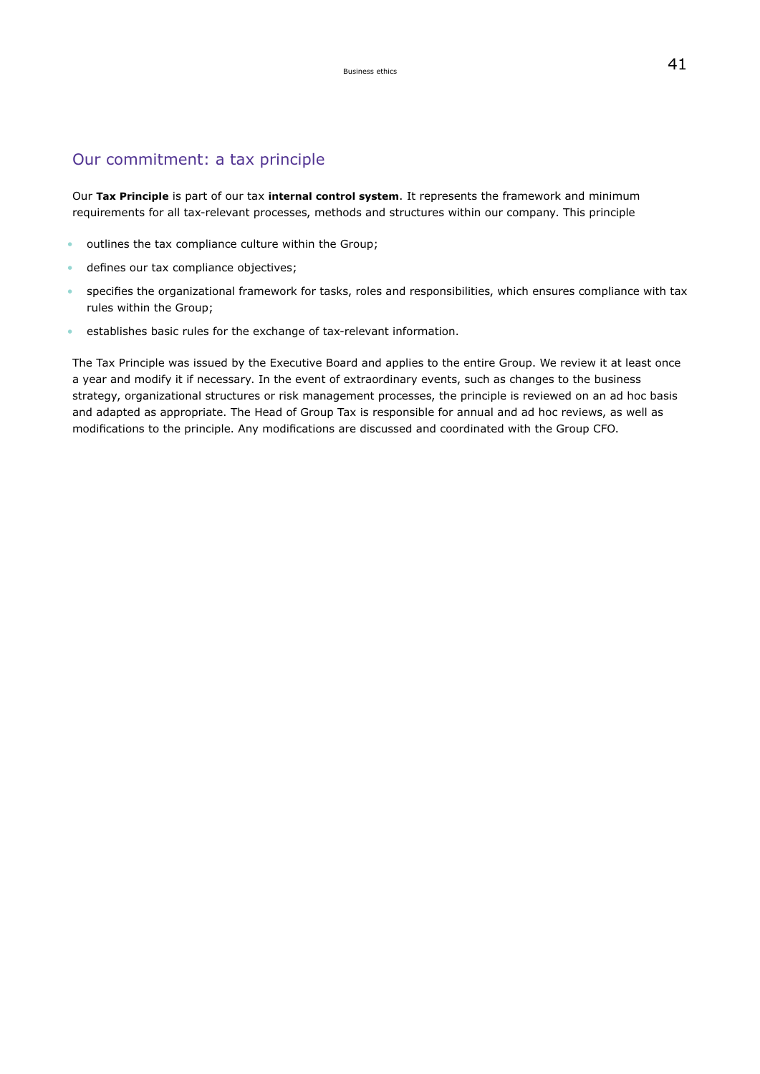### Our commitment: a tax principle

Our **Tax Principle** is part of our tax **internal control system**. It represents the framework and minimum requirements for all tax-relevant processes, methods and structures within our company. This principle

- outlines the tax compliance culture within the Group;
- defines our tax compliance objectives;
- specifies the organizational framework for tasks, roles and responsibilities, which ensures compliance with tax rules within the Group;
- establishes basic rules for the exchange of tax-relevant information.

The Tax Principle was issued by the Executive Board and applies to the entire Group. We review it at least once a year and modify it if necessary. In the event of extraordinary events, such as changes to the business strategy, organizational structures or risk management processes, the principle is reviewed on an ad hoc basis and adapted as appropriate. The Head of Group Tax is responsible for annual and ad hoc reviews, as well as modifications to the principle. Any modifications are discussed and coordinated with the Group CFO.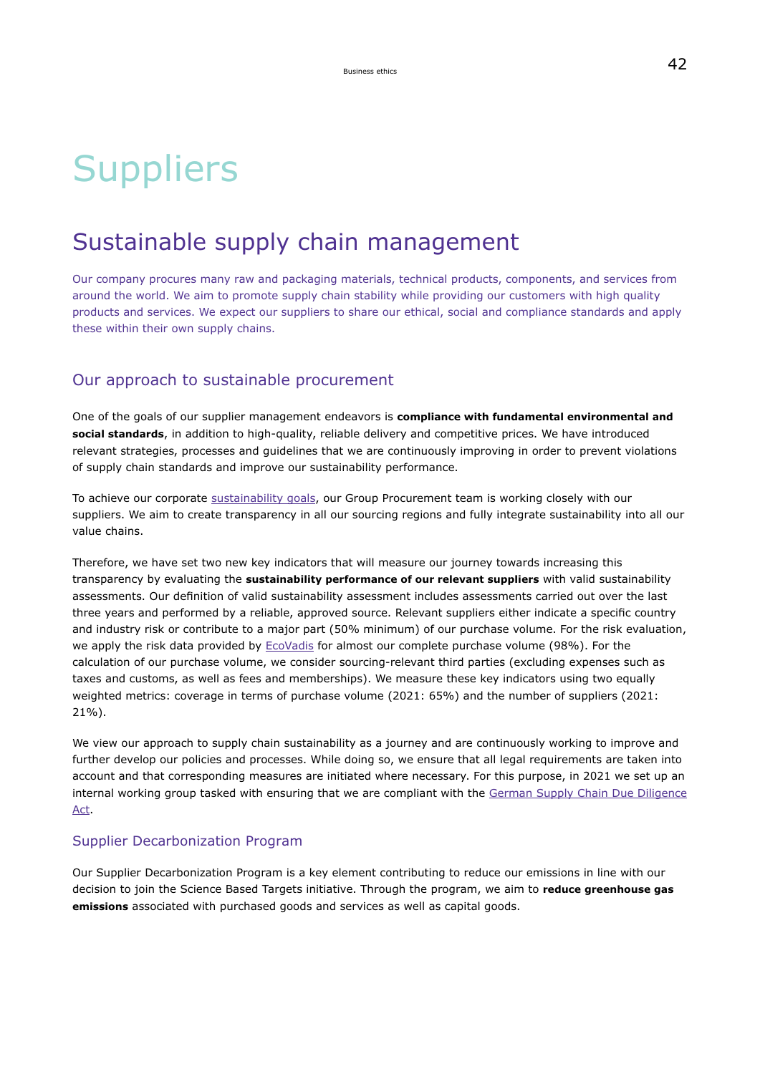# **Suppliers**

## Sustainable supply chain management

Our company procures many raw and packaging materials, technical products, components, and services from around the world. We aim to promote supply chain stability while providing our customers with high quality products and services. We expect our suppliers to share our ethical, social and compliance standards and apply these within their own supply chains.

### Our approach to sustainable procurement

One of the goals of our supplier management endeavors is **compliance with fundamental environmental and social standards**, in addition to high-quality, reliable delivery and competitive prices. We have introduced relevant strategies, processes and guidelines that we are continuously improving in order to prevent violations of supply chain standards and improve our sustainability performance.

To achieve our corporate [sustainability goals](#page-10-0), our Group Procurement team is working closely with our suppliers. We aim to create transparency in all our sourcing regions and fully integrate sustainability into all our value chains.

Therefore, we have set two new key indicators that will measure our journey towards increasing this transparency by evaluating the **sustainability performance of our relevant suppliers** with valid sustainability assessments. Our definition of valid sustainability assessment includes assessments carried out over the last three years and performed by a reliable, approved source. Relevant suppliers either indicate a specific country and industry risk or contribute to a major part (50% minimum) of our purchase volume. For the risk evaluation, we apply the risk data provided by [EcoVadis](https://ecovadis.com/) for almost our complete purchase volume (98%). For the calculation of our purchase volume, we consider sourcing-relevant third parties (excluding expenses such as taxes and customs, as well as fees and memberships). We measure these key indicators using two equally weighted metrics: coverage in terms of purchase volume (2021: 65%) and the number of suppliers (2021: 21%).

We view our approach to supply chain sustainability as a journey and are continuously working to improve and further develop our policies and processes. While doing so, we ensure that all legal requirements are taken into account and that corresponding measures are initiated where necessary. For this purpose, in 2021 we set up an internal working group tasked with ensuring that we are compliant with the [German Supply Chain Due Diligence](https://www.bundesregierung.de/breg-en/federal-government/supply-chain-act-1872076) [Act](https://www.bundesregierung.de/breg-en/federal-government/supply-chain-act-1872076).

### Supplier Decarbonization Program

Our Supplier Decarbonization Program is a key element contributing to reduce our emissions in line with our decision to join the Science Based Targets initiative. Through the program, we aim to **reduce greenhouse gas emissions** associated with purchased goods and services as well as capital goods.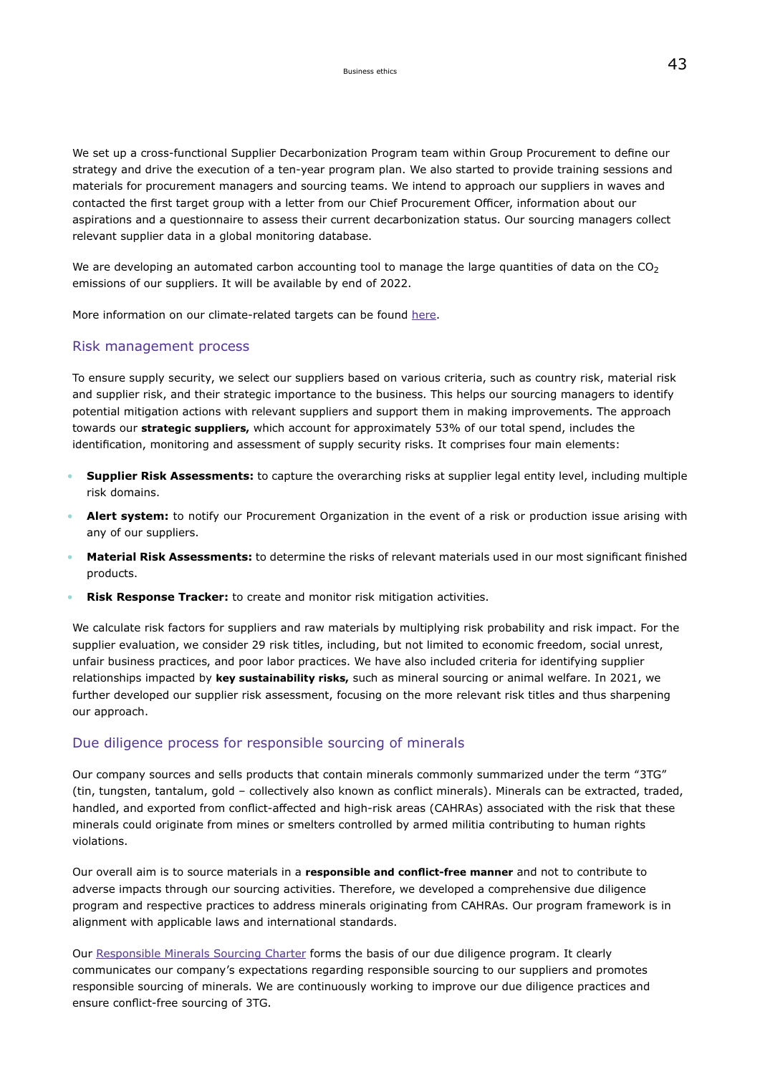We set up a cross-functional Supplier Decarbonization Program team within Group Procurement to define our strategy and drive the execution of a ten-year program plan. We also started to provide training sessions and materials for procurement managers and sourcing teams. We intend to approach our suppliers in waves and contacted the first target group with a letter from our Chief Procurement Officer, information about our aspirations and a questionnaire to assess their current decarbonization status. Our sourcing managers collect relevant supplier data in a global monitoring database.

We are developing an automated carbon accounting tool to manage the large quantities of data on the  $CO<sub>2</sub>$ emissions of our suppliers. It will be available by end of 2022.

More information on our climate-related targets can be found [here.](#page-142-0)

#### Risk management process

To ensure supply security, we select our suppliers based on various criteria, such as country risk, material risk and supplier risk, and their strategic importance to the business. This helps our sourcing managers to identify potential mitigation actions with relevant suppliers and support them in making improvements. The approach towards our **strategic suppliers,** which account for approximately 53% of our total spend, includes the identification, monitoring and assessment of supply security risks. It comprises four main elements:

- **Supplier Risk Assessments:** to capture the overarching risks at supplier legal entity level, including multiple risk domains.
- **Alert system:** to notify our Procurement Organization in the event of a risk or production issue arising with any of our suppliers.
- **Material Risk Assessments:** to determine the risks of relevant materials used in our most significant finished products.
- **Risk Response Tracker:** to create and monitor risk mitigation activities.

We calculate risk factors for suppliers and raw materials by multiplying risk probability and risk impact. For the supplier evaluation, we consider 29 risk titles, including, but not limited to economic freedom, social unrest, unfair business practices, and poor labor practices. We have also included criteria for identifying supplier relationships impacted by **key sustainability risks,** such as mineral sourcing or animal welfare. In 2021, we further developed our supplier risk assessment, focusing on the more relevant risk titles and thus sharpening our approach.

#### Due diligence process for responsible sourcing of minerals

Our company sources and sells products that contain minerals commonly summarized under the term "3TG" (tin, tungsten, tantalum, gold – collectively also known as conflict minerals). Minerals can be extracted, traded, handled, and exported from conflict-affected and high-risk areas (CAHRAs) associated with the risk that these minerals could originate from mines or smelters controlled by armed militia contributing to human rights violations.

Our overall aim is to source materials in a **responsible and conflict-free manner** and not to contribute to adverse impacts through our sourcing activities. Therefore, we developed a comprehensive due diligence program and respective practices to address minerals originating from CAHRAs. Our program framework is in alignment with applicable laws and international standards.

Our [Responsible Minerals Sourcing Charter](https://www.emdgroup.com/company/responsibility/en/ResponsibleSourcingGroupCharter_en.pdf) forms the basis of our due diligence program. It clearly communicates our company's expectations regarding responsible sourcing to our suppliers and promotes responsible sourcing of minerals. We are continuously working to improve our due diligence practices and ensure conflict-free sourcing of 3TG.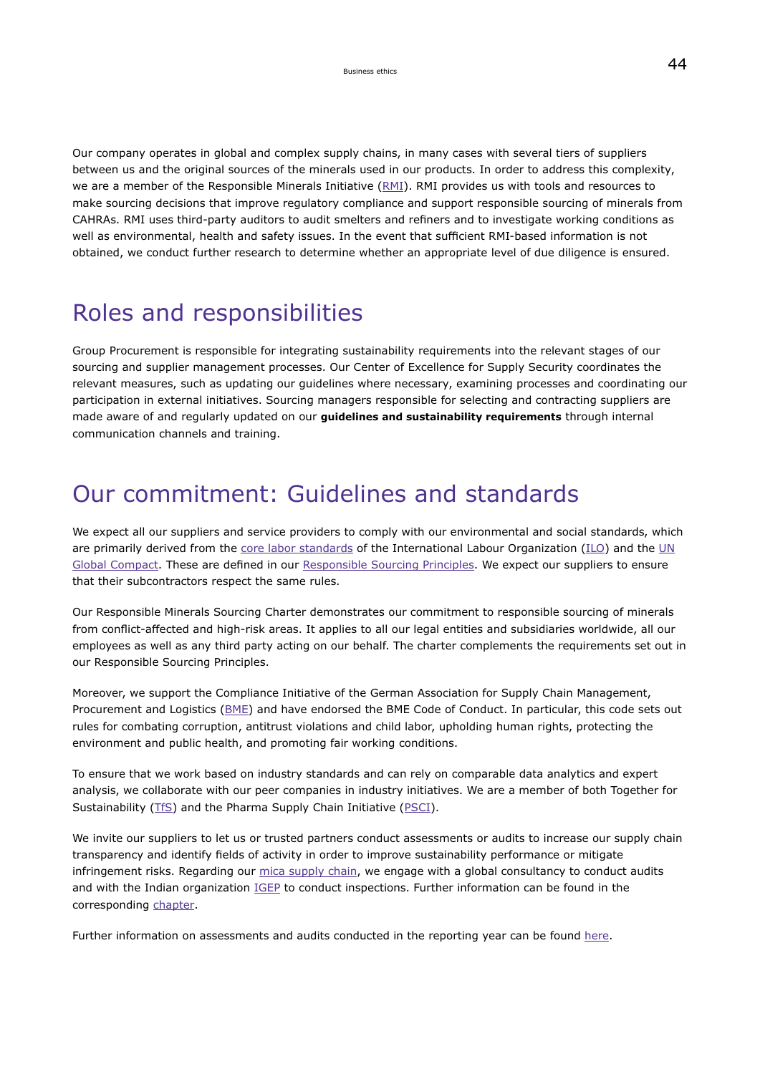Our company operates in global and complex supply chains, in many cases with several tiers of suppliers between us and the original sources of the minerals used in our products. In order to address this complexity, we are a member of the Responsible Minerals Initiative ([RMI](http://www.responsiblemineralsinitiative.org/)). RMI provides us with tools and resources to make sourcing decisions that improve regulatory compliance and support responsible sourcing of minerals from CAHRAs. RMI uses third-party auditors to audit smelters and refiners and to investigate working conditions as well as environmental, health and safety issues. In the event that sufficient RMI-based information is not obtained, we conduct further research to determine whether an appropriate level of due diligence is ensured.

## Roles and responsibilities

Group Procurement is responsible for integrating sustainability requirements into the relevant stages of our sourcing and supplier management processes. Our Center of Excellence for Supply Security coordinates the relevant measures, such as updating our guidelines where necessary, examining processes and coordinating our participation in external initiatives. Sourcing managers responsible for selecting and contracting suppliers are made aware of and regularly updated on our **guidelines and sustainability requirements** through internal communication channels and training.

## Our commitment: Guidelines and standards

We expect all our suppliers and service providers to comply with our environmental and social standards, which are primarily derived from the [core labor standards](http://www.ilo.org/global/standards/lang--en/index.htm) of the International Labour Organization [\(ILO\)](http://www.ilo.org/global/lang--en/index.htm) and the [UN](https://www.unglobalcompact.org/) [Global Compact](https://www.unglobalcompact.org/). These are defined in our [Responsible Sourcing Principles.](https://www.emdgroup.com/content/dam/web/corporate/non-images/company/responsibility/en/regulations-and-guidelines/responsible-sourcing-principles.pdf) We expect our suppliers to ensure that their subcontractors respect the same rules.

Our Responsible Minerals Sourcing Charter demonstrates our commitment to responsible sourcing of minerals from conflict-affected and high-risk areas. It applies to all our legal entities and subsidiaries worldwide, all our employees as well as any third party acting on our behalf. The charter complements the requirements set out in our Responsible Sourcing Principles.

Moreover, we support the Compliance Initiative of the German Association for Supply Chain Management, Procurement and Logistics [\(BME\)](https://www.bme.de/en/association-supply-chain-management-procurement-and-logistics/) and have endorsed the BME Code of Conduct. In particular, this code sets out rules for combating corruption, antitrust violations and child labor, upholding human rights, protecting the environment and public health, and promoting fair working conditions.

To ensure that we work based on industry standards and can rely on comparable data analytics and expert analysis, we collaborate with our peer companies in industry initiatives. We are a member of both Together for Sustainability [\(TfS\)](https://tfs-initiative.com/) and the Pharma Supply Chain Initiative ([PSCI](https://pscinitiative.org/home)).

We invite our suppliers to let us or trusted partners conduct assessments or audits to increase our supply chain transparency and identify fields of activity in order to improve sustainability performance or mitigate infringement risks. Regarding our [mica supply chain,](#page-46-0) we engage with a global consultancy to conduct audits and with the Indian organization [IGEP](http://www.igep.org/index.html) to conduct inspections. Further information can be found in the corresponding [chapter](#page-46-0).

Further information on assessments and audits conducted in the reporting year can be found [here](#page-41-1).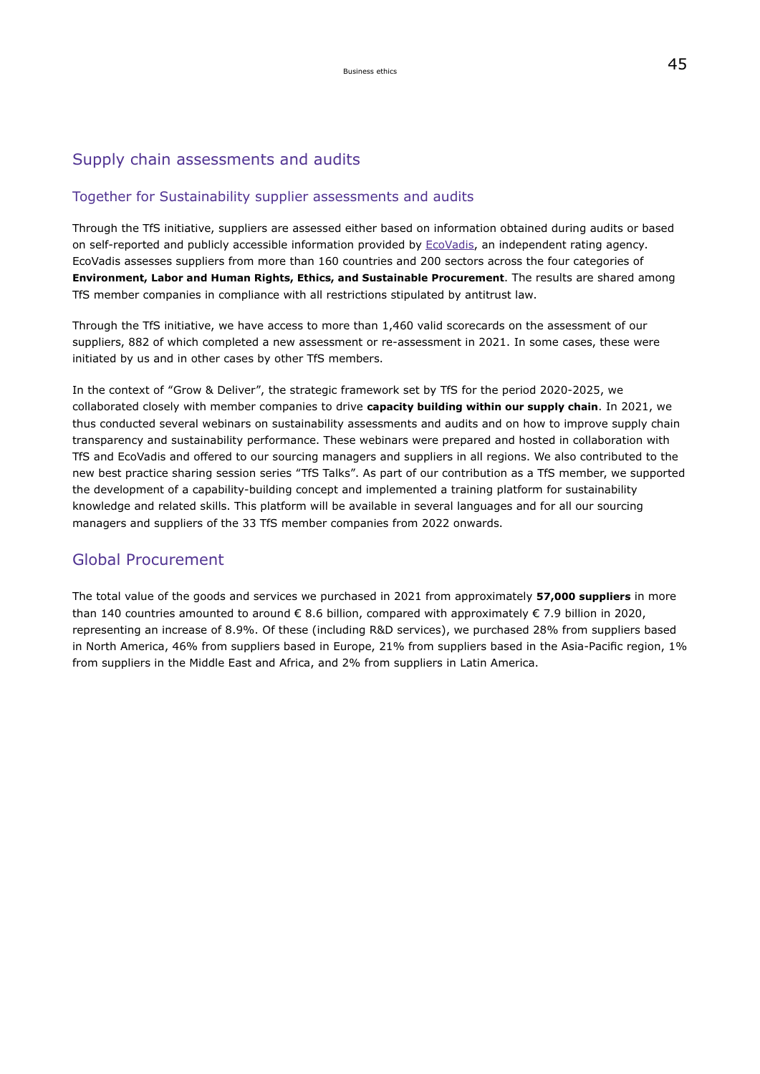## Supply chain assessments and audits

### Together for Sustainability supplier assessments and audits

Through the TfS initiative, suppliers are assessed either based on information obtained during audits or based on self-reported and publicly accessible information provided by [EcoVadis](https://www.ecovadis.com/), an independent rating agency. EcoVadis assesses suppliers from more than 160 countries and 200 sectors across the four categories of **Environment, Labor and Human Rights, Ethics, and Sustainable Procurement**. The results are shared among TfS member companies in compliance with all restrictions stipulated by antitrust law.

Through the TfS initiative, we have access to more than 1,460 valid scorecards on the assessment of our suppliers, 882 of which completed a new assessment or re-assessment in 2021. In some cases, these were initiated by us and in other cases by other TfS members.

In the context of "Grow & Deliver", the strategic framework set by TfS for the period 2020-2025, we collaborated closely with member companies to drive **capacity building within our supply chain**. In 2021, we thus conducted several webinars on sustainability assessments and audits and on how to improve supply chain transparency and sustainability performance. These webinars were prepared and hosted in collaboration with TfS and EcoVadis and offered to our sourcing managers and suppliers in all regions. We also contributed to the new best practice sharing session series "TfS Talks". As part of our contribution as a TfS member, we supported the development of a capability-building concept and implemented a training platform for sustainability knowledge and related skills. This platform will be available in several languages and for all our sourcing managers and suppliers of the 33 TfS member companies from 2022 onwards.

### Global Procurement

The total value of the goods and services we purchased in 2021 from approximately **57,000 suppliers** in more than 140 countries amounted to around € 8.6 billion, compared with approximately € 7.9 billion in 2020, representing an increase of 8.9%. Of these (including R&D services), we purchased 28% from suppliers based in North America, 46% from suppliers based in Europe, 21% from suppliers based in the Asia-Pacific region, 1% from suppliers in the Middle East and Africa, and 2% from suppliers in Latin America.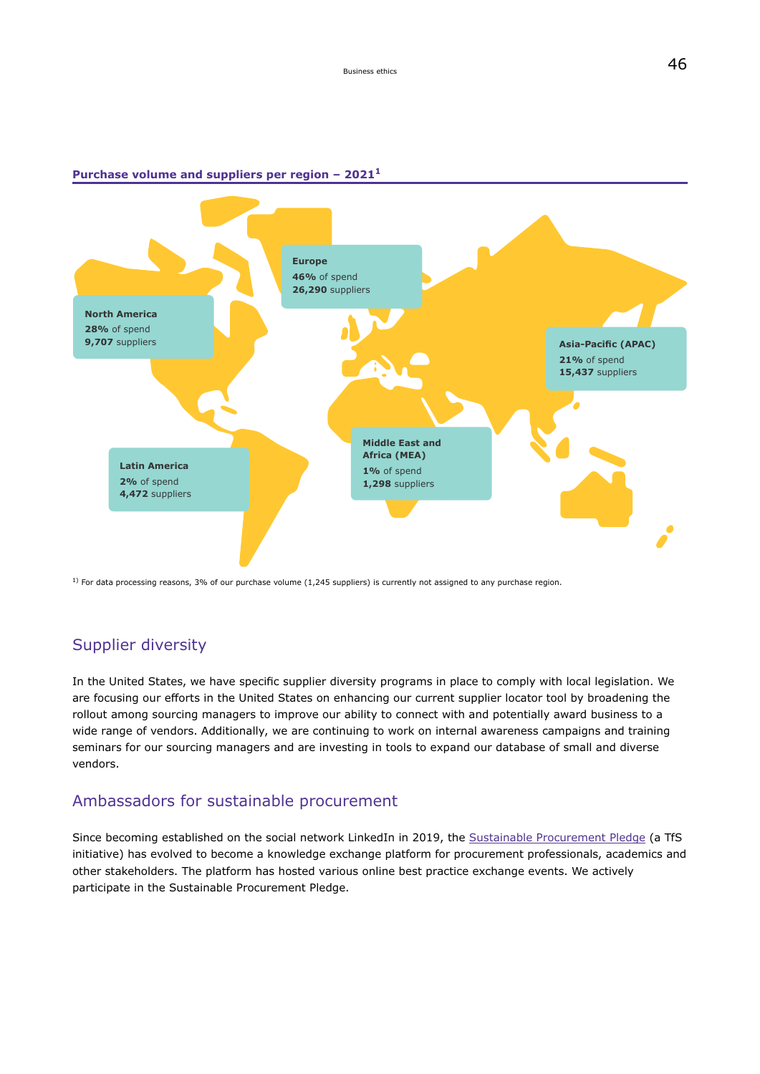#### **Purchase volume and suppliers per region – 2021<sup>1</sup>**



 $1)$  For data processing reasons, 3% of our purchase volume (1,245 suppliers) is currently not assigned to any purchase region.

### Supplier diversity

In the United States, we have specific supplier diversity programs in place to comply with local legislation. We are focusing our efforts in the United States on enhancing our current supplier locator tool by broadening the rollout among sourcing managers to improve our ability to connect with and potentially award business to a wide range of vendors. Additionally, we are continuing to work on internal awareness campaigns and training seminars for our sourcing managers and are investing in tools to expand our database of small and diverse vendors.

### Ambassadors for sustainable procurement

Since becoming established on the social network LinkedIn in 2019, the [Sustainable Procurement Pledge](https://www.linkedin.com/company/sustainable-procurement-pledge) (a TfS initiative) has evolved to become a knowledge exchange platform for procurement professionals, academics and other stakeholders. The platform has hosted various online best practice exchange events. We actively participate in the Sustainable Procurement Pledge.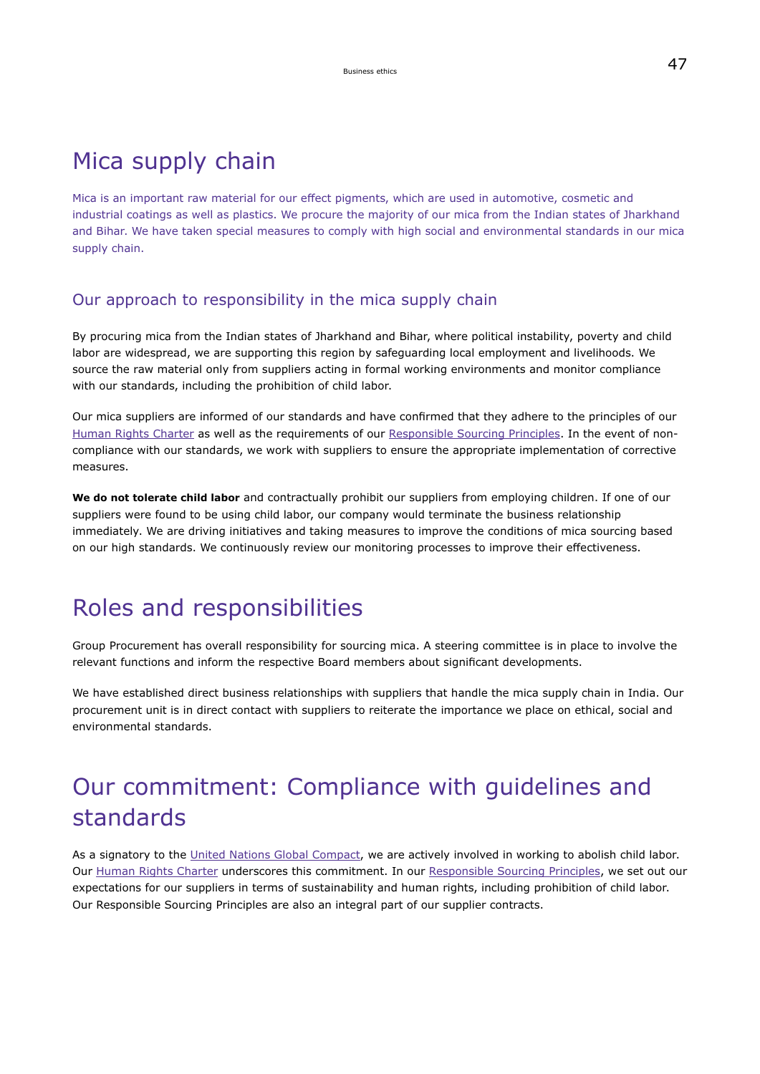## Mica supply chain

Mica is an important raw material for our effect pigments, which are used in automotive, cosmetic and industrial coatings as well as plastics. We procure the majority of our mica from the Indian states of Jharkhand and Bihar. We have taken special measures to comply with high social and environmental standards in our mica supply chain.

### Our approach to responsibility in the mica supply chain

By procuring mica from the Indian states of Jharkhand and Bihar, where political instability, poverty and child labor are widespread, we are supporting this region by safeguarding local employment and livelihoods. We source the raw material only from suppliers acting in formal working environments and monitor compliance with our standards, including the prohibition of child labor.

Our mica suppliers are informed of our standards and have confirmed that they adhere to the principles of our [Human Rights Charter](https://www.emdgroup.com/content/dam/web/corporate/non-images/company/responsibility/us/Merck_KGaA_Darmstadt_Germany_Human_Rights_Charter.pdf) as well as the requirements of our [Responsible Sourcing Principles.](https://www.emdgroup.com/content/dam/web/corporate/non-images/company/responsibility/en/regulations-and-guidelines/responsible-sourcing-principles.pdf) In the event of noncompliance with our standards, we work with suppliers to ensure the appropriate implementation of corrective measures.

**We do not tolerate child labor** and contractually prohibit our suppliers from employing children. If one of our suppliers were found to be using child labor, our company would terminate the business relationship immediately. We are driving initiatives and taking measures to improve the conditions of mica sourcing based on our high standards. We continuously review our monitoring processes to improve their effectiveness.

## Roles and responsibilities

Group Procurement has overall responsibility for sourcing mica. A steering committee is in place to involve the relevant functions and inform the respective Board members about significant developments.

We have established direct business relationships with suppliers that handle the mica supply chain in India. Our procurement unit is in direct contact with suppliers to reiterate the importance we place on ethical, social and environmental standards.

# Our commitment: Compliance with guidelines and standards

As a signatory to the [United Nations Global Compact](https://www.unglobalcompact.org/), we are actively involved in working to abolish child labor. Our [Human Rights Charter](https://www.emdgroup.com/content/dam/web/corporate/non-images/company/responsibility/en/regulations-and-guidelines/human-rights-charter.pdf) underscores this commitment. In our [Responsible Sourcing Principles](https://www.emdgroup.com/content/dam/web/corporate/non-images/company/responsibility/en/regulations-and-guidelines/responsible-sourcing-principles.pdf), we set out our expectations for our suppliers in terms of sustainability and human rights, including prohibition of child labor. Our Responsible Sourcing Principles are also an integral part of our supplier contracts.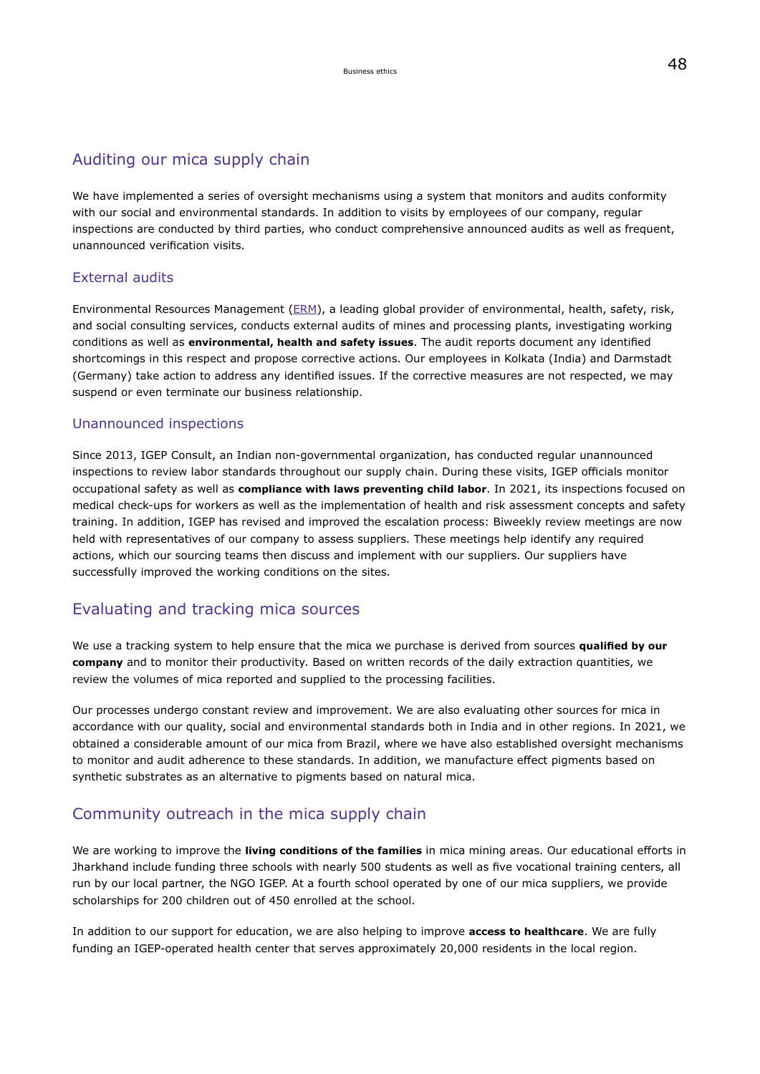### Auditing our mica supply chain

We have implemented a series of oversight mechanisms using a system that monitors and audits conformity with our social and environmental standards. In addition to visits by employees of our company, regular inspections are conducted by third parties, who conduct comprehensive announced audits as well as frequent, unannounced verification visits.

### External audits

Environmental Resources Management ([ERM](https://www.erm.com/en/locations/india/)), a leading global provider of environmental, health, safety, risk, and social consulting services, conducts external audits of mines and processing plants, investigating working conditions as well as **environmental, health and safety issues**. The audit reports document any identified shortcomings in this respect and propose corrective actions. Our employees in Kolkata (India) and Darmstadt (Germany) take action to address any identified issues. If the corrective measures are not respected, we may suspend or even terminate our business relationship.

#### Unannounced inspections

Since 2013, IGEP Consult, an Indian non-governmental organization, has conducted regular unannounced inspections to review labor standards throughout our supply chain. During these visits, IGEP officials monitor occupational safety as well as **compliance with laws preventing child labor**. In 2021, its inspections focused on medical check-ups for workers as well as the implementation of health and risk assessment concepts and safety training. In addition, IGEP has revised and improved the escalation process: Biweekly review meetings are now held with representatives of our company to assess suppliers. These meetings help identify any required actions, which our sourcing teams then discuss and implement with our suppliers. Our suppliers have successfully improved the working conditions on the sites.

### Evaluating and tracking mica sources

We use a tracking system to help ensure that the mica we purchase is derived from sources **qualified by our company** and to monitor their productivity. Based on written records of the daily extraction quantities, we review the volumes of mica reported and supplied to the processing facilities.

Our processes undergo constant review and improvement. We are also evaluating other sources for mica in accordance with our quality, social and environmental standards both in India and in other regions. In 2021, we obtained a considerable amount of our mica from Brazil, where we have also established oversight mechanisms to monitor and audit adherence to these standards. In addition, we manufacture effect pigments based on synthetic substrates as an alternative to pigments based on natural mica.

## Community outreach in the mica supply chain

We are working to improve the **living conditions of the families** in mica mining areas. Our educational efforts in Jharkhand include funding three schools with nearly 500 students as well as five vocational training centers, all run by our local partner, the NGO IGEP. At a fourth school operated by one of our mica suppliers, we provide scholarships for 200 children out of 450 enrolled at the school.

In addition to our support for education, we are also helping to improve **access to healthcare**. We are fully funding an IGEP-operated health center that serves approximately 20,000 residents in the local region.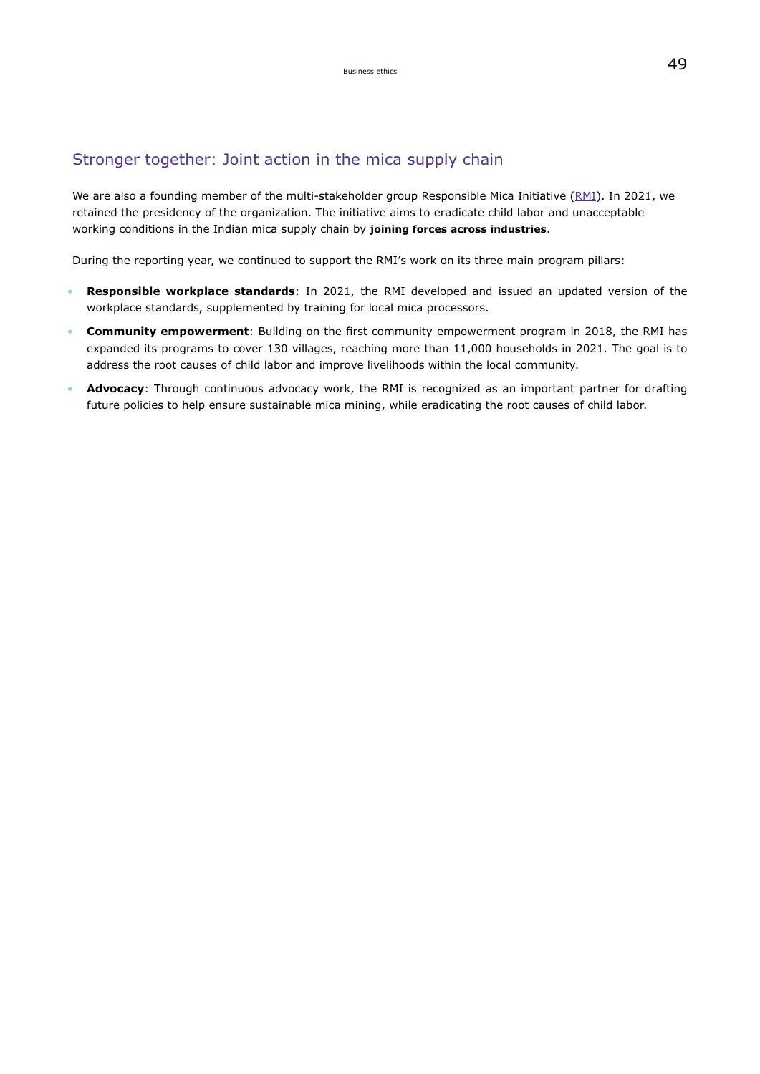## Stronger together: Joint action in the mica supply chain

We are also a founding member of the multi-stakeholder group Responsible Mica Initiative [\(RMI](https://www.responsible-mica-initiative.com/)). In 2021, we retained the presidency of the organization. The initiative aims to eradicate child labor and unacceptable working conditions in the Indian mica supply chain by **joining forces across industries**.

During the reporting year, we continued to support the RMI's work on its three main program pillars:

- **Responsible workplace standards**: In 2021, the RMI developed and issued an updated version of the workplace standards, supplemented by training for local mica processors.
- **Community empowerment**: Building on the first community empowerment program in 2018, the RMI has expanded its programs to cover 130 villages, reaching more than 11,000 households in 2021. The goal is to address the root causes of child labor and improve livelihoods within the local community.
- **Advocacy**: Through continuous advocacy work, the RMI is recognized as an important partner for drafting future policies to help ensure sustainable mica mining, while eradicating the root causes of child labor.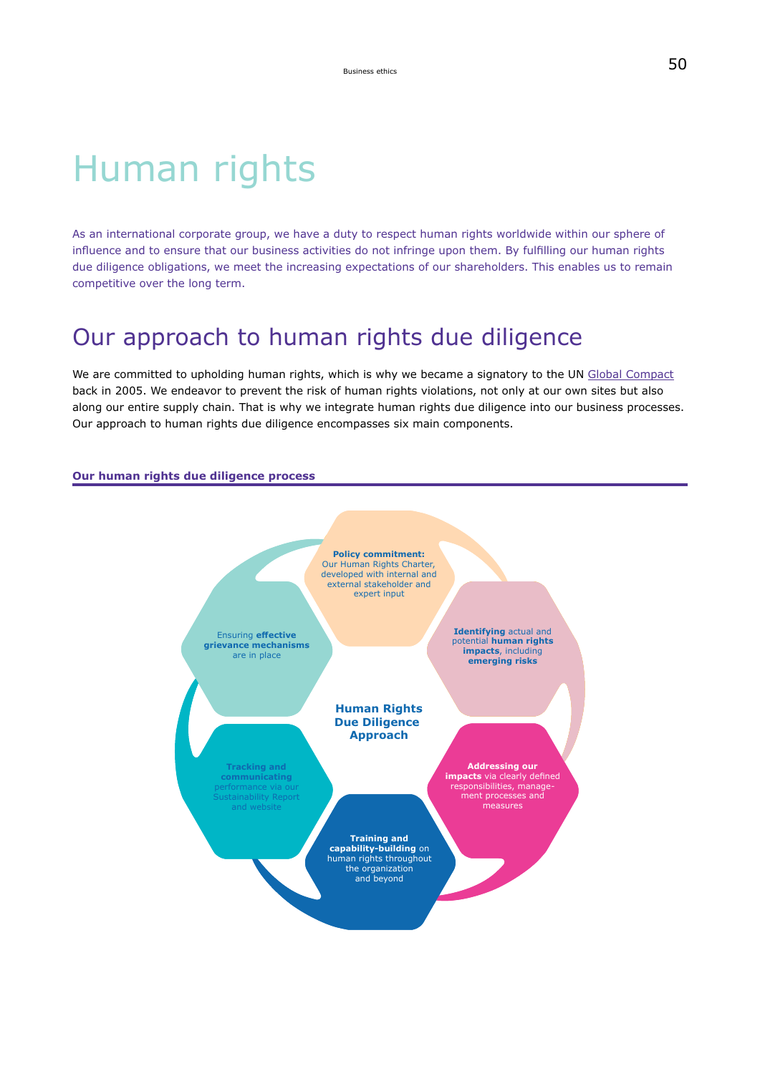# Human rights

As an international corporate group, we have a duty to respect human rights worldwide within our sphere of influence and to ensure that our business activities do not infringe upon them. By fulfilling our human rights due diligence obligations, we meet the increasing expectations of our shareholders. This enables us to remain competitive over the long term.

## Our approach to human rights due diligence

We are committed to upholding human rights, which is why we became a signatory to the UN [Global Compact](#page-236-0) back in 2005. We endeavor to prevent the risk of human rights violations, not only at our own sites but also along our entire supply chain. That is why we integrate human rights due diligence into our business processes. Our approach to human rights due diligence encompasses six main components.

#### **Our human rights due diligence process**

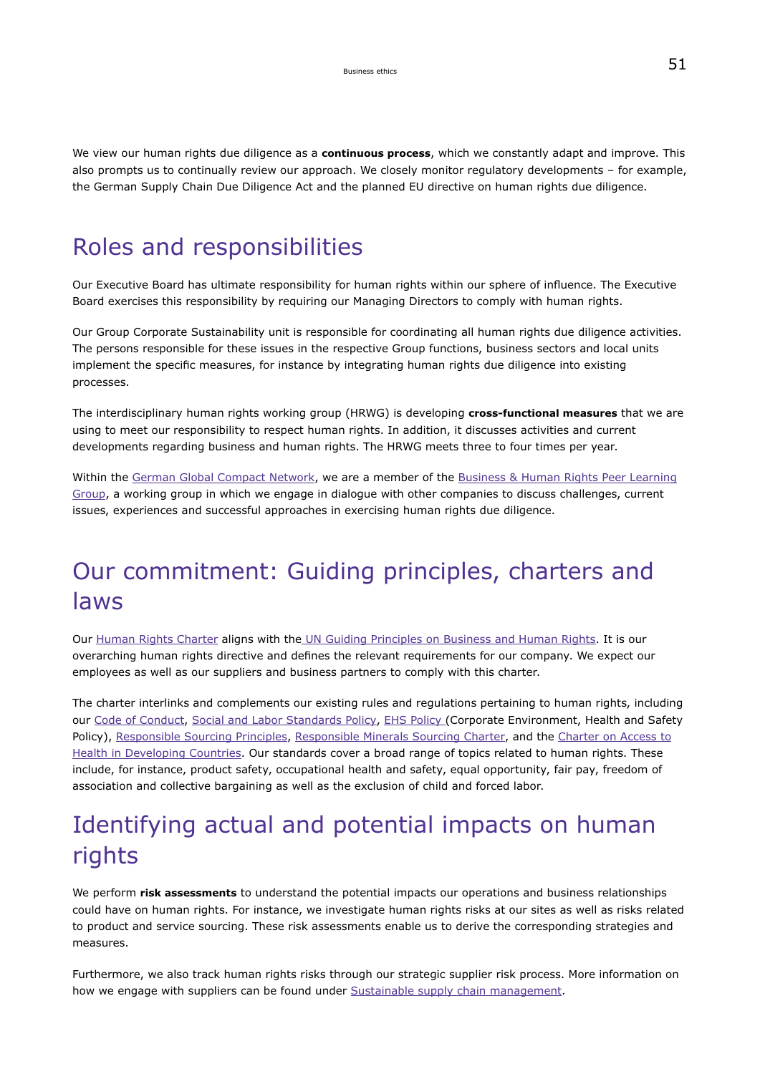We view our human rights due diligence as a **continuous process**, which we constantly adapt and improve. This also prompts us to continually review our approach. We closely monitor regulatory developments – for example, the German Supply Chain Due Diligence Act and the planned EU directive on human rights due diligence.

## Roles and responsibilities

Our Executive Board has ultimate responsibility for human rights within our sphere of influence. The Executive Board exercises this responsibility by requiring our Managing Directors to comply with human rights.

Our Group Corporate Sustainability unit is responsible for coordinating all human rights due diligence activities. The persons responsible for these issues in the respective Group functions, business sectors and local units implement the specific measures, for instance by integrating human rights due diligence into existing processes.

The interdisciplinary human rights working group (HRWG) is developing **cross-functional measures** that we are using to meet our responsibility to respect human rights. In addition, it discusses activities and current developments regarding business and human rights. The HRWG meets three to four times per year.

Within the [German Global Compact Network,](https://www.globalcompact.de/en/) we are a member of the [Business & Human Rights Peer Learning](https://www.globalcompact.de/migrated_files/wAssets/docs/Newscenter/business_-_human_rights_peer_learning_group-report_2015.pdf) [Group,](https://www.globalcompact.de/migrated_files/wAssets/docs/Newscenter/business_-_human_rights_peer_learning_group-report_2015.pdf) a working group in which we engage in dialogue with other companies to discuss challenges, current issues, experiences and successful approaches in exercising human rights due diligence.

# Our commitment: Guiding principles, charters and laws

Our [Human Rights Charter](https://www.emdgroup.com/content/dam/web/corporate/non-images/company/responsibility/us/Merck_KGaA_Darmstadt_Germany_Human_Rights_Charter.pdf) aligns with th[e](https://www.globalcompact.de/wAssets/docs/Menschenrechte/Publikationen/leitprinzipien_fuer_wirtschaft_und_menschenrechte.pdf) [UN Guiding Principles on Business and Human Rights.](https://www.ohchr.org/documents/publications/guidingprinciplesbusinesshr_en.pdf) It is our overarching human rights directive and defines the relevant requirements for our company. We expect our employees as well as our suppliers and business partners to comply with this charter.

The charter interlinks and complements our existing rules and regulations pertaining to human rights, including our [Code of Conduct](https://www.emdgroup.com/company/responsibility/de/Verhaltenskodex.pdf), [Social and Labor Standards Policy](https://www.emdgroup.com/company/responsibility/en/regulations-and-guidelines/Social-and-Labor-Standards-Policy-Website.pdf), [EHS Policy](https://www.emdgroup.com/company/responsibility/en/regulations-and-guidelines/Social-and-Labor-Standards-Policy-Website.pdf) (Corporate Environment, Health and Safety Policy), [Responsible Sourcing Principles](https://www.emdgroup.com/content/dam/web/corporate/non-images/company/responsibility/en/regulations-and-guidelines/responsible-sourcing-principles.pdf), [Responsible Minerals Sourcing Charter,](https://www.emdgroup.com/company/responsibility/en/ResponsibleSourcingGroupCharter_en.pdf) and the [Charter on Access to](https://www.emdgroup.com/company/responsibility/en/regulations-and-guidelines/intellectual-property.pdf) [Health in Developing Countries.](https://www.emdgroup.com/company/responsibility/en/regulations-and-guidelines/intellectual-property.pdf) Our standards cover a broad range of topics related to human rights. These include, for instance, product safety, occupational health and safety, equal opportunity, fair pay, freedom of association and collective bargaining as well as the exclusion of child and forced labor.

# Identifying actual and potential impacts on human rights

We perform **risk assessments** to understand the potential impacts our operations and business relationships could have on human rights. For instance, we investigate human rights risks at our sites as well as risks related to product and service sourcing. These risk assessments enable us to derive the corresponding strategies and measures.

Furthermore, we also track human rights risks through our strategic supplier risk process. More information on how we engage with suppliers can be found under [Sustainable supply chain management](#page-41-1).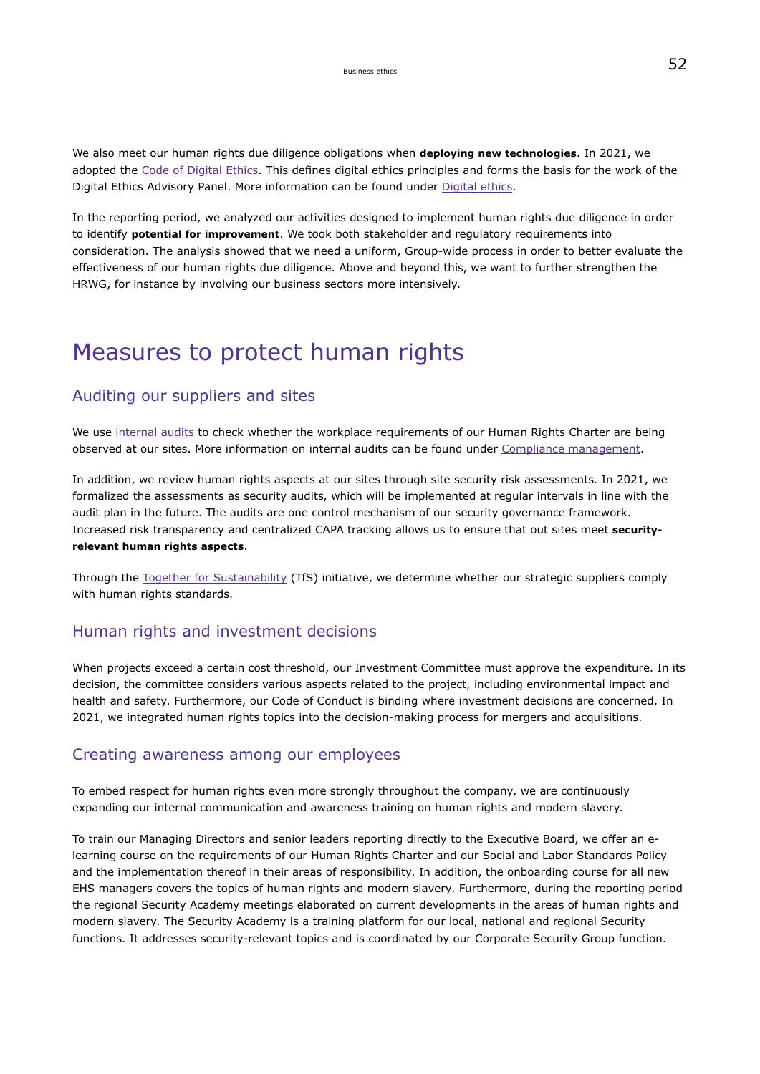<span id="page-26-0"></span>We also meet our human rights due diligence obligations when **deploying new technologies**. In 2021, we adopted the [Code of Digital Ethics](https://www.emdgroup.com/company/responsibility/us/products-businesses/CoDE-Code_of_Digital_Ethics.pdf). This defines digital ethics principles and forms the basis for the work of the Digital Ethics Advisory Panel. More information can be found under [Digital ethics.](#page-67-0)

<span id="page-26-1"></span>In the reporting period, we analyzed our activities designed to implement human rights due diligence in order to identify **potential for improvement**. We took both stakeholder and regulatory requirements into consideration. The analysis showed that we need a uniform, Group-wide process in order to better evaluate the effectiveness of our human rights due diligence. Above and beyond this, we want to further strengthen the HRWG, for instance by involving our business sectors more intensively.

## Measures to protect human rights

### Auditing our suppliers and sites

We use internal audits to check whether the workplace requirements of our Human Rights Charter are being observed at our sites. More information on internal audits can be found under [Compliance management.](#page-28-0)

In addition, we review human rights aspects at our sites through site security risk assessments. In 2021, we formalized the assessments as security audits, which will be implemented at regular intervals in line with the audit plan in the future. The audits are one control mechanism of our security governance framework. Increased risk transparency and centralized CAPA tracking allows us to ensure that out sites meet **securityrelevant human rights aspects**.

Through the [Together for Sustainability](https://tfs-initiative.com/) (TfS) initiative, we determine whether our strategic suppliers comply with human rights standards.

### Human rights and investment decisions

When projects exceed a certain cost threshold, our Investment Committee must approve the expenditure. In its decision, the committee considers various aspects related to the project, including environmental impact and health and safety. Furthermore, our Code of Conduct is binding where investment decisions are concerned. In 2021, we integrated human rights topics into the decision-making process for mergers and acquisitions.

### Creating awareness among our employees

To embed respect for human rights even more strongly throughout the company, we are continuously expanding our internal communication and awareness training on human rights and modern slavery.

To train our Managing Directors and senior leaders reporting directly to the Executive Board, we offer an elearning course on the requirements of our Human Rights Charter and our Social and Labor Standards Policy and the implementation thereof in their areas of responsibility. In addition, the onboarding course for all new EHS managers covers the topics of human rights and modern slavery. Furthermore, during the reporting period the regional Security Academy meetings elaborated on current developments in the areas of human rights and modern slavery. The Security Academy is a training platform for our local, national and regional Security functions. It addresses security-relevant topics and is coordinated by our Corporate Security Group function.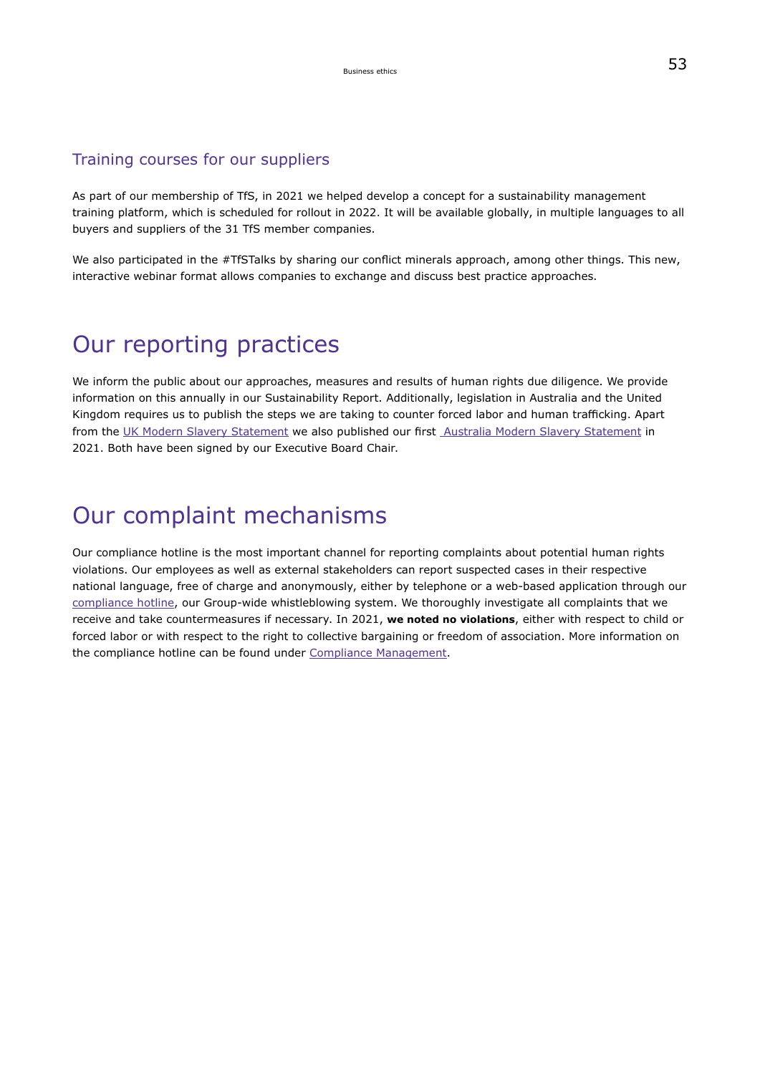### Training courses for our suppliers

As part of our membership of TfS, in 2021 we helped develop a concept for a sustainability management training platform, which is scheduled for rollout in 2022. It will be available globally, in multiple languages to all buyers and suppliers of the 31 TfS member companies.

We also participated in the #TfSTalks by sharing our conflict minerals approach, among other things. This new, interactive webinar format allows companies to exchange and discuss best practice approaches.

## Our reporting practices

We inform the public about our approaches, measures and results of human rights due diligence. We provide information on this annually in our Sustainability Report. Additionally, legislation in Australia and the United Kingdom requires us to publish the steps we are taking to counter forced labor and human trafficking. Apart from the [UK Modern Slavery Statement](https://www.emdgroup.com/content/dam/web/corporate/non-images/company/responsibility/en/%3Cspan%20class=) we also published our first [Australia Modern Slavery Statement](https://www.emdgroup.com/company/responsibility/en/AUMS-Statement.pdf) in 2021. Both have been signed by our Executive Board Chair.

## Our complaint mechanisms

Our compliance hotline is the most important channel for reporting complaints about potential human rights violations. Our employees as well as external stakeholders can report suspected cases in their respective national language, free of charge and anonymously, either by telephone or a web-based application through our [compliance hotline,](https://www.emdgroup.com/en/sustainability/products-and-businesses/compliance-and-ethics.html) our Group-wide whistleblowing system. We thoroughly investigate all complaints that we receive and take countermeasures if necessary. In 2021, **we noted no violations**, either with respect to child or forced labor or with respect to the right to collective bargaining or freedom of association. More information on the compliance hotline can be found under [Compliance Management.](#page-28-0)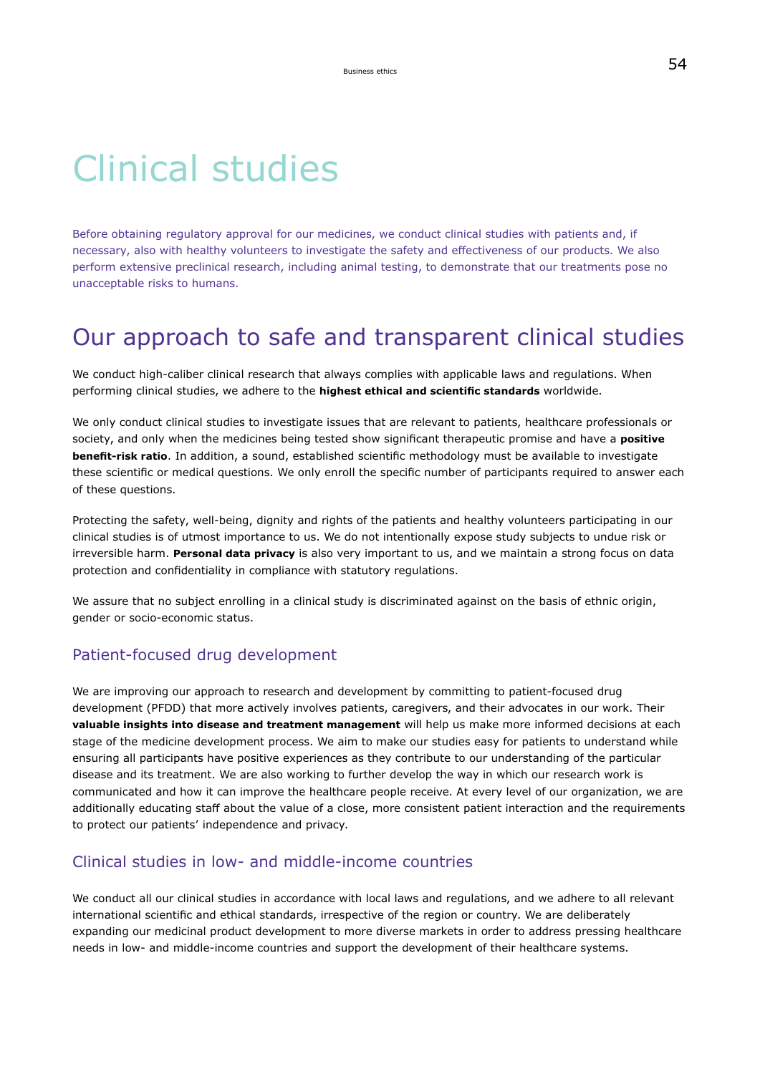# <span id="page-28-0"></span>Clinical studies

Before obtaining regulatory approval for our medicines, we conduct clinical studies with patients and, if necessary, also with healthy volunteers to investigate the safety and effectiveness of our products. We also perform extensive preclinical research, including animal testing, to demonstrate that our treatments pose no unacceptable risks to humans.

## Our approach to safe and transparent clinical studies

We conduct high-caliber clinical research that always complies with applicable laws and regulations. When performing clinical studies, we adhere to the **highest ethical and scientific standards** worldwide.

We only conduct clinical studies to investigate issues that are relevant to patients, healthcare professionals or society, and only when the medicines being tested show significant therapeutic promise and have a **positive benefit-risk ratio**. In addition, a sound, established scientific methodology must be available to investigate these scientific or medical questions. We only enroll the specific number of participants required to answer each of these questions.

Protecting the safety, well-being, dignity and rights of the patients and healthy volunteers participating in our clinical studies is of utmost importance to us. We do not intentionally expose study subjects to undue risk or irreversible harm. **Personal data privacy** is also very important to us, and we maintain a strong focus on data protection and confidentiality in compliance with statutory regulations.

We assure that no subject enrolling in a clinical study is discriminated against on the basis of ethnic origin, gender or socio-economic status.

### Patient-focused drug development

We are improving our approach to research and development by committing to patient-focused drug development (PFDD) that more actively involves patients, caregivers, and their advocates in our work. Their **valuable insights into disease and treatment management** will help us make more informed decisions at each stage of the medicine development process. We aim to make our studies easy for patients to understand while ensuring all participants have positive experiences as they contribute to our understanding of the particular disease and its treatment. We are also working to further develop the way in which our research work is communicated and how it can improve the healthcare people receive. At every level of our organization, we are additionally educating staff about the value of a close, more consistent patient interaction and the requirements to protect our patients' independence and privacy.

### Clinical studies in low- and middle-income countries

We conduct all our clinical studies in accordance with local laws and regulations, and we adhere to all relevant international scientific and ethical standards, irrespective of the region or country. We are deliberately expanding our medicinal product development to more diverse markets in order to address pressing healthcare needs in low- and middle-income countries and support the development of their healthcare systems.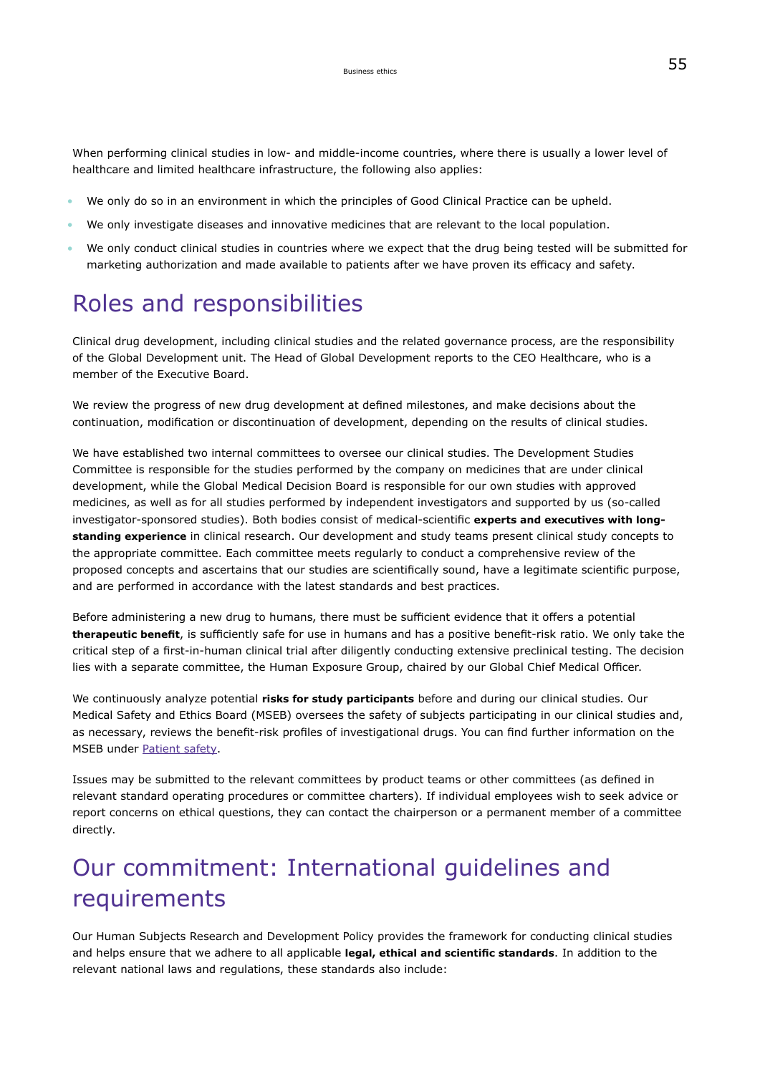When performing clinical studies in low- and middle-income countries, where there is usually a lower level of healthcare and limited healthcare infrastructure, the following also applies:

- We only do so in an environment in which the principles of Good Clinical Practice can be upheld.
- We only investigate diseases and innovative medicines that are relevant to the local population.
- We only conduct clinical studies in countries where we expect that the drug being tested will be submitted for marketing authorization and made available to patients after we have proven its efficacy and safety.

## Roles and responsibilities

Clinical drug development, including clinical studies and the related governance process, are the responsibility of the Global Development unit. The Head of Global Development reports to the CEO Healthcare, who is a member of the Executive Board.

We review the progress of new drug development at defined milestones, and make decisions about the continuation, modification or discontinuation of development, depending on the results of clinical studies.

<span id="page-29-0"></span>We have established two internal committees to oversee our clinical studies. The Development Studies Committee is responsible for the studies performed by the company on medicines that are under clinical development, while the Global Medical Decision Board is responsible for our own studies with approved medicines, as well as for all studies performed by independent investigators and supported by us (so-called investigator-sponsored studies). Both bodies consist of medical-scientific **experts and executives with longstanding experience** in clinical research. Our development and study teams present clinical study concepts to the appropriate committee. Each committee meets regularly to conduct a comprehensive review of the proposed concepts and ascertains that our studies are scientifically sound, have a legitimate scientific purpose, and are performed in accordance with the latest standards and best practices.

Before administering a new drug to humans, there must be sufficient evidence that it offers a potential **therapeutic benefit**, is sufficiently safe for use in humans and has a positive benefit-risk ratio. We only take the critical step of a first-in-human clinical trial after diligently conducting extensive preclinical testing. The decision lies with a separate committee, the Human Exposure Group, chaired by our Global Chief Medical Officer.

We continuously analyze potential **risks for study participants** before and during our clinical studies. Our Medical Safety and Ethics Board (MSEB) oversees the safety of subjects participating in our clinical studies and, as necessary, reviews the benefit-risk profiles of investigational drugs. You can find further information on the MSEB under [Patient safety](#page-105-0).

Issues may be submitted to the relevant committees by product teams or other committees (as defined in relevant standard operating procedures or committee charters). If individual employees wish to seek advice or report concerns on ethical questions, they can contact the chairperson or a permanent member of a committee directly.

# Our commitment: International guidelines and requirements

Our Human Subjects Research and Development Policy provides the framework for conducting clinical studies and helps ensure that we adhere to all applicable **legal, ethical and scientific standards**. In addition to the relevant national laws and regulations, these standards also include: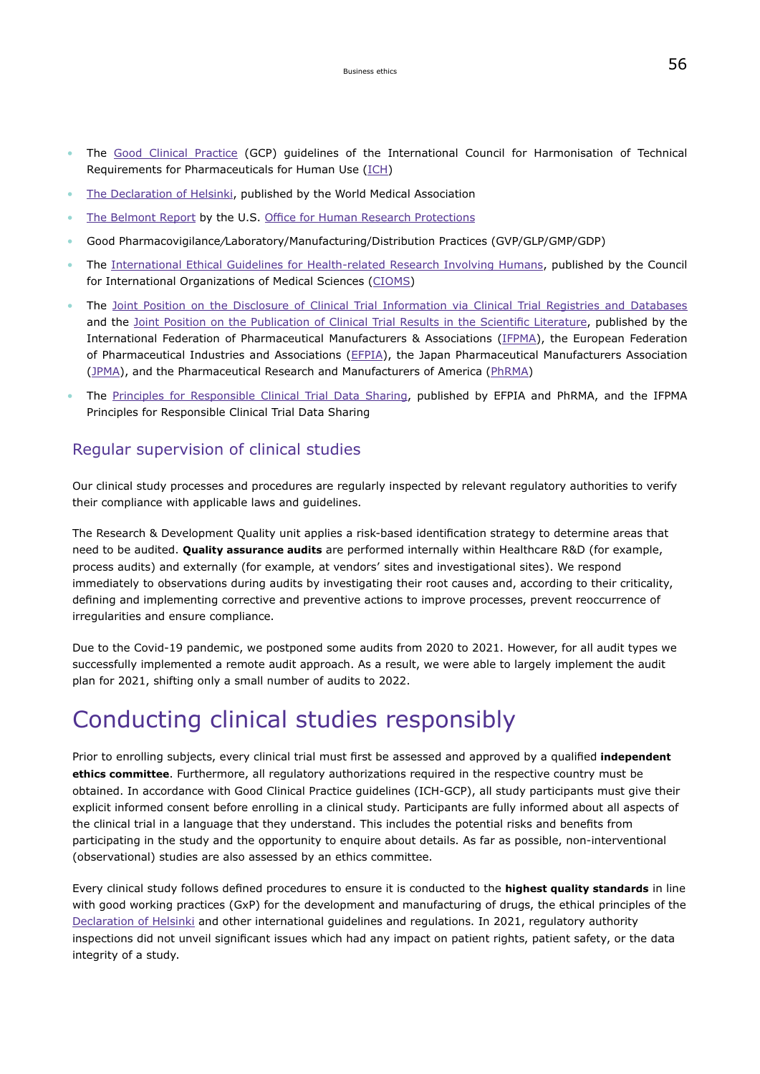- The [Good Clinical Practice](https://www.ich.org/page/efficacy-guidelines) (GCP) guidelines of the International Council for Harmonisation of Technical Requirements for Pharmaceuticals for Human Use [\(ICH\)](https://www.ich.org/)
- [The Declaration of Helsinki,](https://www.wma.net/policies-post/wma-declaration-of-helsinki-ethical-principles-for-medical-research-involving-human-subjects/) published by the World Medical Association
- [The Belmont Report](https://www.hhs.gov/ohrp/regulations-and-policy/belmont-report/read-the-belmont-report/index.html) by the U.S. [Office for Human Research Protections](https://www.hhs.gov/ohrp/)
- Good Pharmacovigilance/Laboratory/Manufacturing/Distribution Practices (GVP/GLP/GMP/GDP)
- The [International Ethical Guidelines for Health-related Research Involving Humans,](https://cioms.ch/wp-content/uploads/2017/01/WEB-CIOMS-EthicalGuidelines.pdf) published by the Council for International Organizations of Medical Sciences [\(CIOMS](https://cioms.ch/))
- The [Joint Position on the Disclosure of Clinical Trial Information via Clinical Trial Registries and Databases](https://www.ifpma.org/wp-content/uploads/2010/11/Joint-Position-on-Disclosure-of-CT-Info-via-CT-Registries-Revised-Jan2018-vFINAL.pdf) and the [Joint Position on the Publication of Clinical Trial Results in the Scientific Literature,](https://www.ifpma.org/wp-content/uploads/2016/03/June2010_Joint_Position_CT_Data_Publication-scientific_literature.pdf) published by the International Federation of Pharmaceutical Manufacturers & Associations ([IFPMA](https://www.ifpma.org/)), the European Federation of Pharmaceutical Industries and Associations [\(EFPIA\)](https://www.efpia.eu/), the Japan Pharmaceutical Manufacturers Association ([JPMA\)](http://www.jpma.or.jp/english/), and the Pharmaceutical Research and Manufacturers of America ([PhRMA](https://www.phrma.org/))
- The [Principles for Responsible Clinical Trial Data Sharing](https://efpia.eu/media/25666/principles-for-responsible-clinical-trial-data-sharing.pdf), published by EFPIA and PhRMA, and the IFPMA Principles for Responsible Clinical Trial Data Sharing

### Regular supervision of clinical studies

Our clinical study processes and procedures are regularly inspected by relevant regulatory authorities to verify their compliance with applicable laws and guidelines.

The Research & Development Quality unit applies a risk-based identification strategy to determine areas that need to be audited. **Quality assurance audits** are performed internally within Healthcare R&D (for example, process audits) and externally (for example, at vendors' sites and investigational sites). We respond immediately to observations during audits by investigating their root causes and, according to their criticality, defining and implementing corrective and preventive actions to improve processes, prevent reoccurrence of irregularities and ensure compliance.

Due to the Covid-19 pandemic, we postponed some audits from 2020 to 2021. However, for all audit types we successfully implemented a remote audit approach. As a result, we were able to largely implement the audit plan for 2021, shifting only a small number of audits to 2022.

## Conducting clinical studies responsibly

Prior to enrolling subjects, every clinical trial must first be assessed and approved by a qualified **independent ethics committee**. Furthermore, all regulatory authorizations required in the respective country must be obtained. In accordance with Good Clinical Practice guidelines (ICH-GCP), all study participants must give their explicit informed consent before enrolling in a clinical study. Participants are fully informed about all aspects of the clinical trial in a language that they understand. This includes the potential risks and benefits from participating in the study and the opportunity to enquire about details. As far as possible, non-interventional (observational) studies are also assessed by an ethics committee.

Every clinical study follows defined procedures to ensure it is conducted to the **highest quality standards** in line with good working practices (GxP) for the development and manufacturing of drugs, the ethical principles of the [Declaration of Helsinki](https://www.wma.net/policies-post/wma-declaration-of-helsinki-ethical-principles-for-medical-research-involving-human-subjects/) and other international guidelines and regulations. In 2021, regulatory authority inspections did not unveil significant issues which had any impact on patient rights, patient safety, or the data integrity of a study.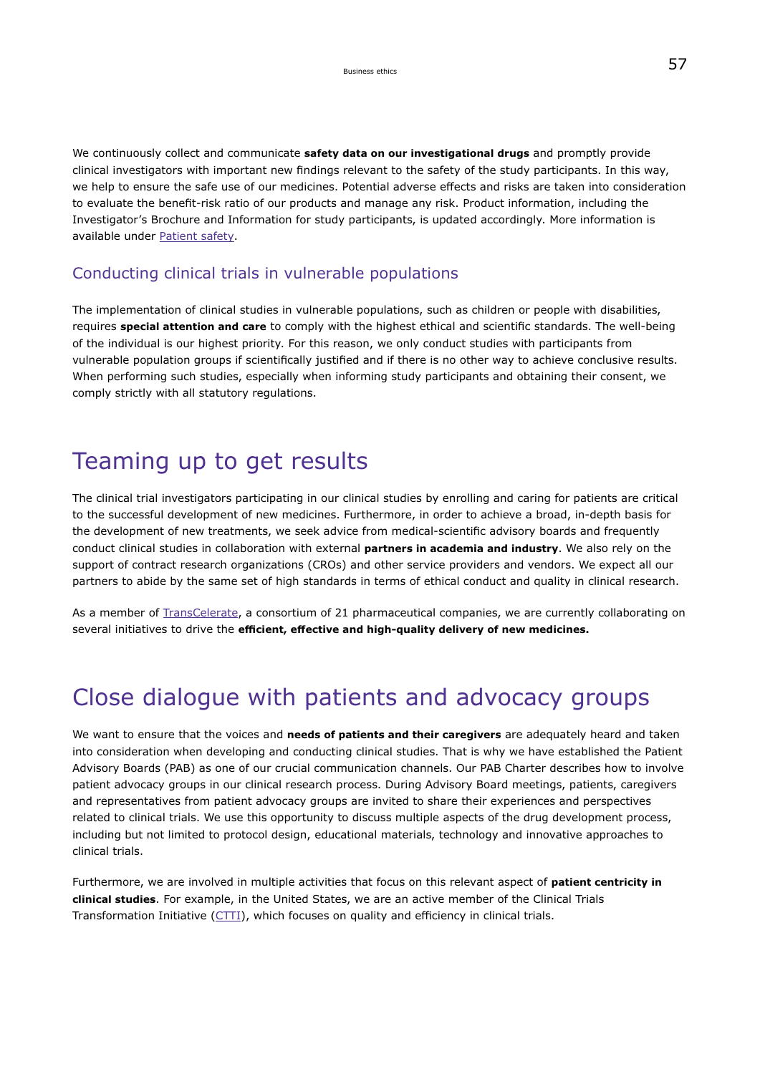We continuously collect and communicate **safety data on our investigational drugs** and promptly provide clinical investigators with important new findings relevant to the safety of the study participants. In this way, we help to ensure the safe use of our medicines. Potential adverse effects and risks are taken into consideration to evaluate the benefit-risk ratio of our products and manage any risk. Product information, including the Investigator's Brochure and Information for study participants, is updated accordingly. More information is available under [Patient safety](#page-105-0).

### Conducting clinical trials in vulnerable populations

The implementation of clinical studies in vulnerable populations, such as children or people with disabilities, requires **special attention and care** to comply with the highest ethical and scientific standards. The well-being of the individual is our highest priority. For this reason, we only conduct studies with participants from vulnerable population groups if scientifically justified and if there is no other way to achieve conclusive results. When performing such studies, especially when informing study participants and obtaining their consent, we comply strictly with all statutory regulations.

## Teaming up to get results

The clinical trial investigators participating in our clinical studies by enrolling and caring for patients are critical to the successful development of new medicines. Furthermore, in order to achieve a broad, in-depth basis for the development of new treatments, we seek advice from medical-scientific advisory boards and frequently conduct clinical studies in collaboration with external **partners in academia and industry**. We also rely on the support of contract research organizations (CROs) and other service providers and vendors. We expect all our partners to abide by the same set of high standards in terms of ethical conduct and quality in clinical research.

As a member of [TransCelerate,](https://www.transceleratebiopharmainc.com/our-mission/meet-the-members/) a consortium of 21 pharmaceutical companies, we are currently collaborating on several initiatives to drive the **efficient, effective and high-quality delivery of new medicines.**

## Close dialogue with patients and advocacy groups

We want to ensure that the voices and **needs of patients and their caregivers** are adequately heard and taken into consideration when developing and conducting clinical studies. That is why we have established the Patient Advisory Boards (PAB) as one of our crucial communication channels. Our PAB Charter describes how to involve patient advocacy groups in our clinical research process. During Advisory Board meetings, patients, caregivers and representatives from patient advocacy groups are invited to share their experiences and perspectives related to clinical trials. We use this opportunity to discuss multiple aspects of the drug development process, including but not limited to protocol design, educational materials, technology and innovative approaches to clinical trials.

Furthermore, we are involved in multiple activities that focus on this relevant aspect of **patient centricity in clinical studies**. For example, in the United States, we are an active member of the Clinical Trials Transformation Initiative ([CTTI\)](https://ctti-clinicaltrials.org/), which focuses on quality and efficiency in clinical trials.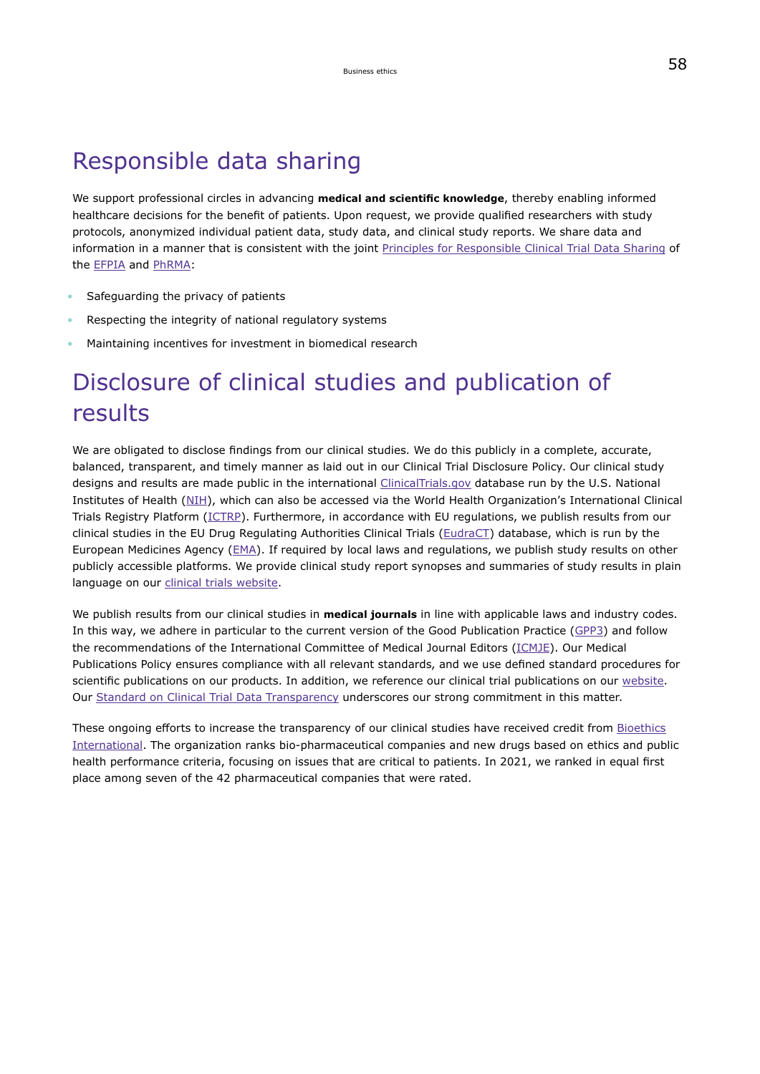## Responsible data sharing

We support professional circles in advancing **medical and scientific knowledge**, thereby enabling informed healthcare decisions for the benefit of patients. Upon request, we provide qualified researchers with study protocols, anonymized individual patient data, study data, and clinical study reports. We share data and information in a manner that is consistent with the joint [Principles for Responsible Clinical Trial Data Sharing](https://efpia.eu/media/25666/principles-for-responsible-clinical-trial-data-sharing.pdf) of the [EFPIA](https://efpia.eu/) and [PhRMA](http://www.phrma.org/):

- Safeguarding the privacy of patients
- Respecting the integrity of national regulatory systems
- Maintaining incentives for investment in biomedical research

# Disclosure of clinical studies and publication of results

We are obligated to disclose findings from our clinical studies. We do this publicly in a complete, accurate, balanced, transparent, and timely manner as laid out in our Clinical Trial Disclosure Policy. Our clinical study designs and results are made public in the international [ClinicalTrials.gov](https://clinicaltrials.gov/) database run by the U.S. National Institutes of Health ([NIH](https://www.nih.gov/)), which can also be accessed via the World Health Organization's International Clinical Trials Registry Platform ([ICTRP\)](https://www.who.int/ictrp/en/). Furthermore, in accordance with EU regulations, we publish results from our clinical studies in the EU Drug Regulating Authorities Clinical Trials ([EudraCT\)](https://www.clinicaltrialsregister.eu/ctr-search/search) database, which is run by the European Medicines Agency [\(EMA\)](https://www.ema.europa.eu/en). If required by local laws and regulations, we publish study results on other publicly accessible platforms. We provide clinical study report synopses and summaries of study results in plain language on our [clinical trials website.](https://clinicaltrials.emdgroup.com/)

We publish results from our clinical studies in **medical journals** in line with applicable laws and industry codes. In this way, we adhere in particular to the current version of the Good Publication Practice [\(GPP3\)](https://www.ismpp.org/gpp3) and follow the recommendations of the International Committee of Medical Journal Editors ([ICMJE\)](http://www.icmje.org/). Our Medical Publications Policy ensures compliance with all relevant standards, and we use defined standard procedures for scientific publications on our products. In addition, we reference our clinical trial publications on our [website](https://clinicaltrials.emdgroup.com/en/trial-details/?id=100070-003). Our [Standard on Clinical Trial Data Transparency](https://www.emdgroup.com/en/research/our-approach-to-research-and-development/healthcare/clinical-trials/standard-on-clinical-trial-data-transparency.html) underscores our strong commitment in this matter.

These ongoing efforts to increase the transparency of our clinical studies have received credit from [Bioethics](https://bioethicsinternational.org/good-pharma-scorecard/?in=2021&rankings=Company&type=All%20Trials) [International.](https://bioethicsinternational.org/good-pharma-scorecard/?in=2021&rankings=Company&type=All%20Trials) The organization ranks bio-pharmaceutical companies and new drugs based on ethics and public health performance criteria, focusing on issues that are critical to patients. In 2021, we ranked in equal first place among seven of the 42 pharmaceutical companies that were rated.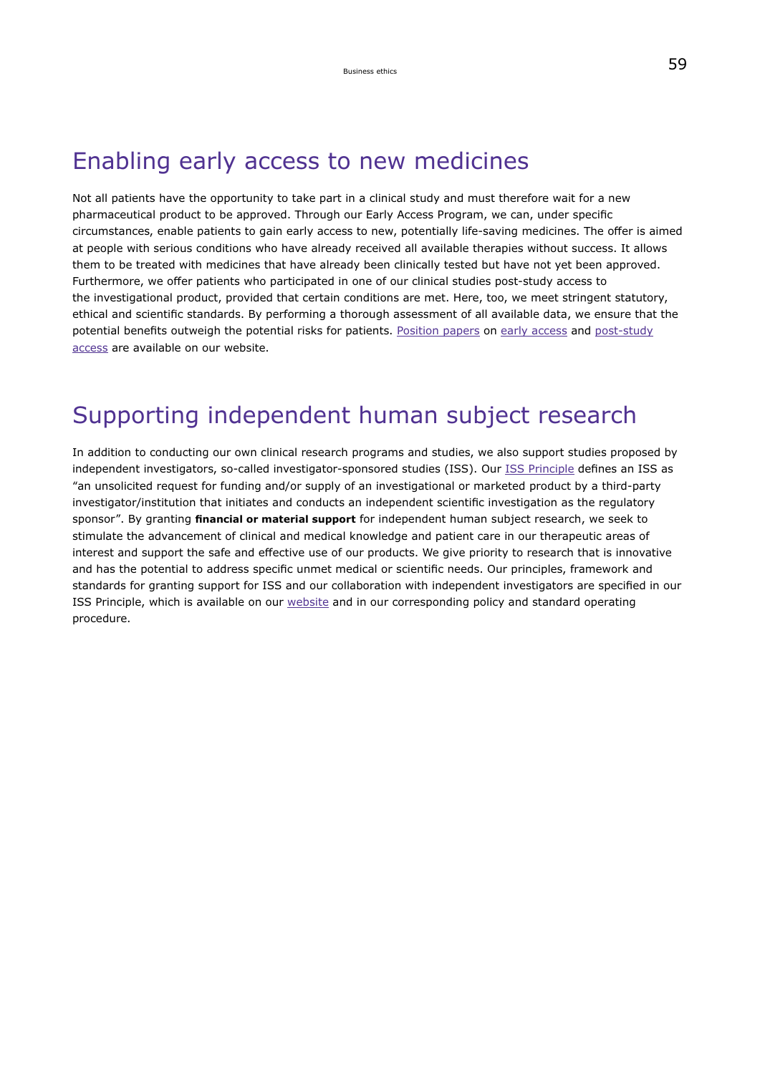## <span id="page-33-0"></span>Enabling early access to new medicines

Not all patients have the opportunity to take part in a clinical study and must therefore wait for a new pharmaceutical product to be approved. Through our Early Access Program, we can, under specific circumstances, enable patients to gain early access to new, potentially life-saving medicines. The offer is aimed at people with serious conditions who have already received all available therapies without success. It allows them to be treated with medicines that have already been clinically tested but have not yet been approved. Furthermore, we offer patients who participated in one of our clinical studies post-study access to the investigational product, provided that certain conditions are met. Here, too, we meet stringent statutory, ethical and scientific standards. By performing a thorough assessment of all available data, we ensure that the potential benefits outweigh the potential risks for patients. [Position papers](https://www.emdgroup.com/en/research/our-approach-to-research-and-development/healthcare/positions-policies.html) on [early access](https://www.emdgroup.com/business-specifics/healthcare/global/External_Position_Statement_on_Early_Access.pdf) and [post-study](https://www.emdgroup.com/business-specifics/healthcare/global/External_Position_Statement_on_Post-Study_Access.pdf) [access](https://www.emdgroup.com/business-specifics/healthcare/global/External_Position_Statement_on_Post-Study_Access.pdf) are available on our website.

## Supporting independent human subject research

In addition to conducting our own clinical research programs and studies, we also support studies proposed by independent investigators, so-called investigator-sponsored studies (ISS). Our [ISS Principle](https://www.emdgroup.com/content/dam/web/corporate/non-images/company/responsibility/en/ISS-Principle-EN.pdf) defines an ISS as "an unsolicited request for funding and/or supply of an investigational or marketed product by a third-party investigator/institution that initiates and conducts an independent scientific investigation as the regulatory sponsor". By granting **financial or material support** for independent human subject research, we seek to stimulate the advancement of clinical and medical knowledge and patient care in our therapeutic areas of interest and support the safe and effective use of our products. We give priority to research that is innovative and has the potential to address specific unmet medical or scientific needs. Our principles, framework and standards for granting support for ISS and our collaboration with independent investigators are specified in our ISS Principle, which is available on our [website](https://www.emdgroup.com/en/sustainability/reports-and-guidelines.html) and in our corresponding policy and standard operating procedure.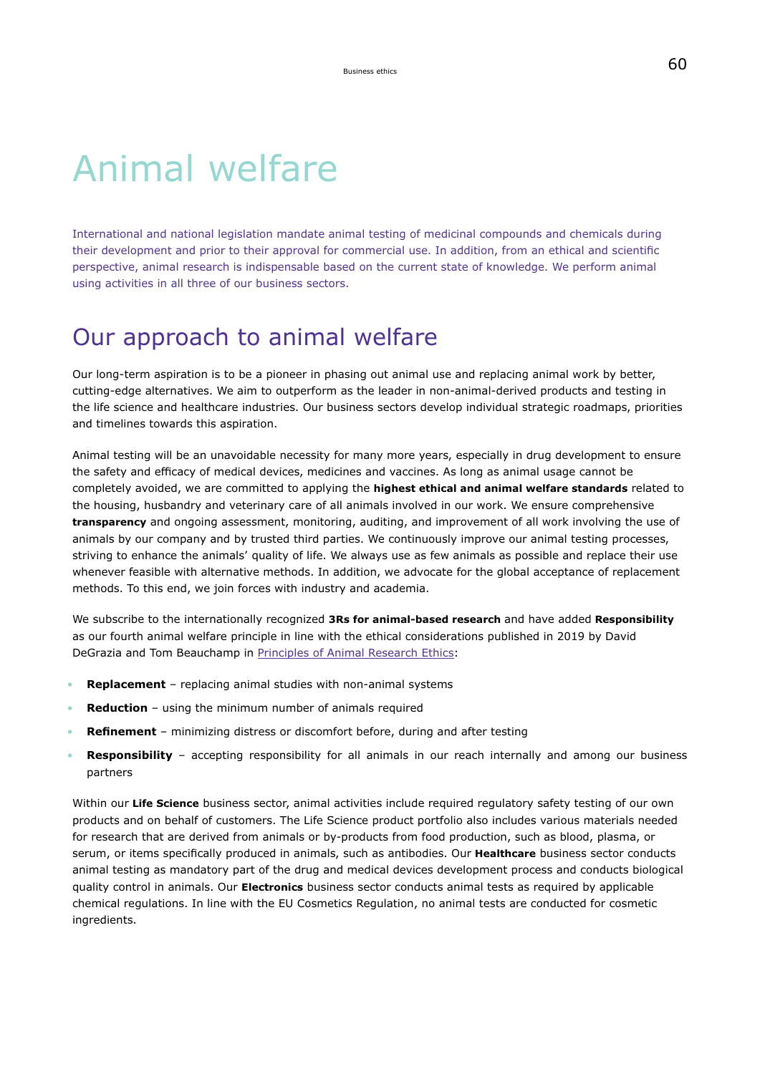# Animal welfare

International and national legislation mandate animal testing of medicinal compounds and chemicals during their development and prior to their approval for commercial use. In addition, from an ethical and scientific perspective, animal research is indispensable based on the current state of knowledge. We perform animal using activities in all three of our business sectors.

## Our approach to animal welfare

Our long-term aspiration is to be a pioneer in phasing out animal use and replacing animal work by better, cutting-edge alternatives. We aim to outperform as the leader in non-animal-derived products and testing in the life science and healthcare industries. Our business sectors develop individual strategic roadmaps, priorities and timelines towards this aspiration.

Animal testing will be an unavoidable necessity for many more years, especially in drug development to ensure the safety and efficacy of medical devices, medicines and vaccines. As long as animal usage cannot be completely avoided, we are committed to applying the **highest ethical and animal welfare standards** related to the housing, husbandry and veterinary care of all animals involved in our work. We ensure comprehensive **transparency** and ongoing assessment, monitoring, auditing, and improvement of all work involving the use of animals by our company and by trusted third parties. We continuously improve our animal testing processes, striving to enhance the animals' quality of life. We always use as few animals as possible and replace their use whenever feasible with alternative methods. In addition, we advocate for the global acceptance of replacement methods. To this end, we join forces with industry and academia.

We subscribe to the internationally recognized **3Rs for animal-based research** and have added **Responsibility** as our fourth animal welfare principle in line with the ethical considerations published in 2019 by David DeGrazia and Tom Beauchamp in [Principles of Animal Research Ethics:](https://oxfordmedicine.com/view/10.1093/med/9780190939120.001.0001/med-9780190939120)

- **Replacement** replacing animal studies with non-animal systems
- **Reduction** using the minimum number of animals required
- **Refinement** minimizing distress or discomfort before, during and after testing
- **Responsibility** accepting responsibility for all animals in our reach internally and among our business partners

Within our **Life Science** business sector, animal activities include required regulatory safety testing of our own products and on behalf of customers. The Life Science product portfolio also includes various materials needed for research that are derived from animals or by-products from food production, such as blood, plasma, or serum, or items specifically produced in animals, such as antibodies. Our **Healthcare** business sector conducts animal testing as mandatory part of the drug and medical devices development process and conducts biological quality control in animals. Our **Electronics** business sector conducts animal tests as required by applicable chemical regulations. In line with the EU Cosmetics Regulation, no animal tests are conducted for cosmetic ingredients.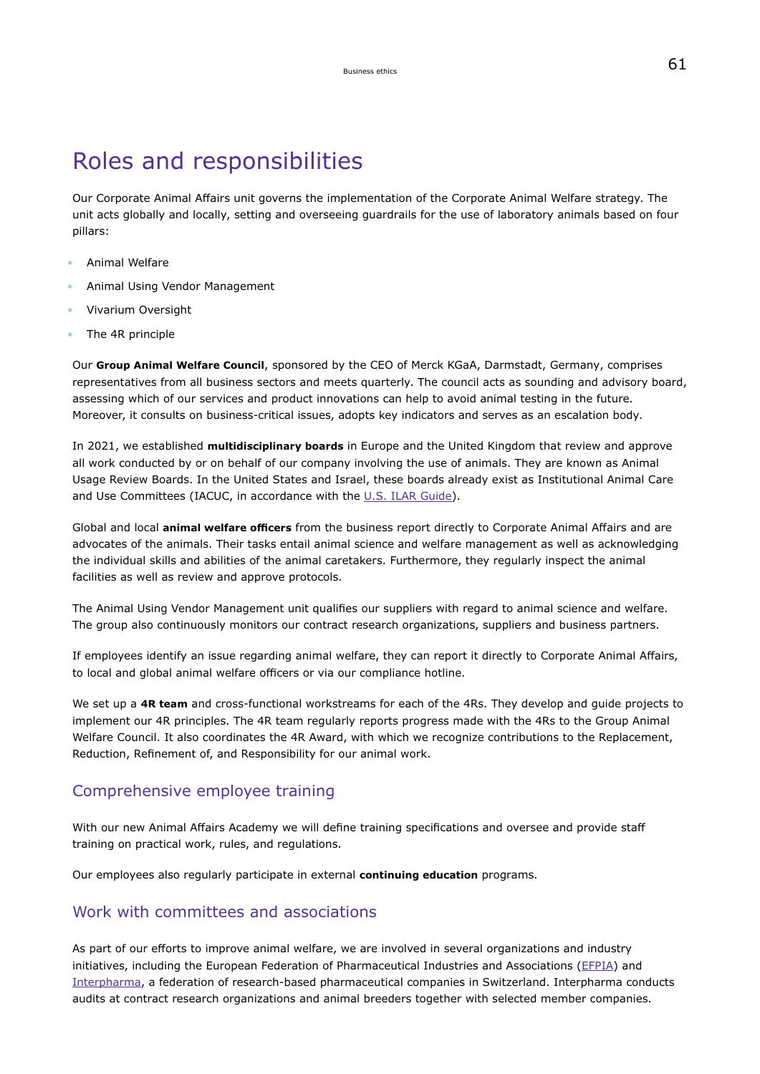## <span id="page-35-0"></span>Roles and responsibilities

Our Corporate Animal Affairs unit governs the implementation of the Corporate Animal Welfare strategy. The unit acts globally and locally, setting and overseeing guardrails for the use of laboratory animals based on four pillars:

- Animal Welfare
- Animal Using Vendor Management
- Vivarium Oversight
- The 4R principle

Our **Group Animal Welfare Council**, sponsored by the CEO of Merck KGaA, Darmstadt, Germany, comprises representatives from all business sectors and meets quarterly. The council acts as sounding and advisory board, assessing which of our services and product innovations can help to avoid animal testing in the future. Moreover, it consults on business-critical issues, adopts key indicators and serves as an escalation body.

In 2021, we established **multidisciplinary boards** in Europe and the United Kingdom that review and approve all work conducted by or on behalf of our company involving the use of animals. They are known as Animal Usage Review Boards. In the United States and Israel, these boards already exist as Institutional Animal Care and Use Committees (IACUC, in accordance with the [U.S. ILAR Guide\)](https://grants.nih.gov/grants/olaw/guide-for-the-care-and-use-of-laboratory-animals.pdf).

Global and local **animal welfare officers** from the business report directly to Corporate Animal Affairs and are advocates of the animals. Their tasks entail animal science and welfare management as well as acknowledging the individual skills and abilities of the animal caretakers. Furthermore, they regularly inspect the animal facilities as well as review and approve protocols.

The Animal Using Vendor Management unit qualifies our suppliers with regard to animal science and welfare. The group also continuously monitors our contract research organizations, suppliers and business partners.

If employees identify an issue regarding animal welfare, they can report it directly to Corporate Animal Affairs, to local and global animal welfare officers or via our compliance hotline.

We set up a **4R team** and cross-functional workstreams for each of the 4Rs. They develop and guide projects to implement our 4R principles. The 4R team regularly reports progress made with the 4Rs to the Group Animal Welfare Council. It also coordinates the 4R Award, with which we recognize contributions to the Replacement, Reduction, Refinement of, and Responsibility for our animal work.

### Comprehensive employee training

With our new Animal Affairs Academy we will define training specifications and oversee and provide staff training on practical work, rules, and regulations.

Our employees also regularly participate in external **continuing education** programs.

### Work with committees and associations

As part of our efforts to improve animal welfare, we are involved in several organizations and industry initiatives, including the European Federation of Pharmaceutical Industries and Associations ([EFPIA\)](https://www.efpia.eu/) and [Interpharma](https://www.interpharma.ch/?lang=en), a federation of research-based pharmaceutical companies in Switzerland. Interpharma conducts audits at contract research organizations and animal breeders together with selected member companies.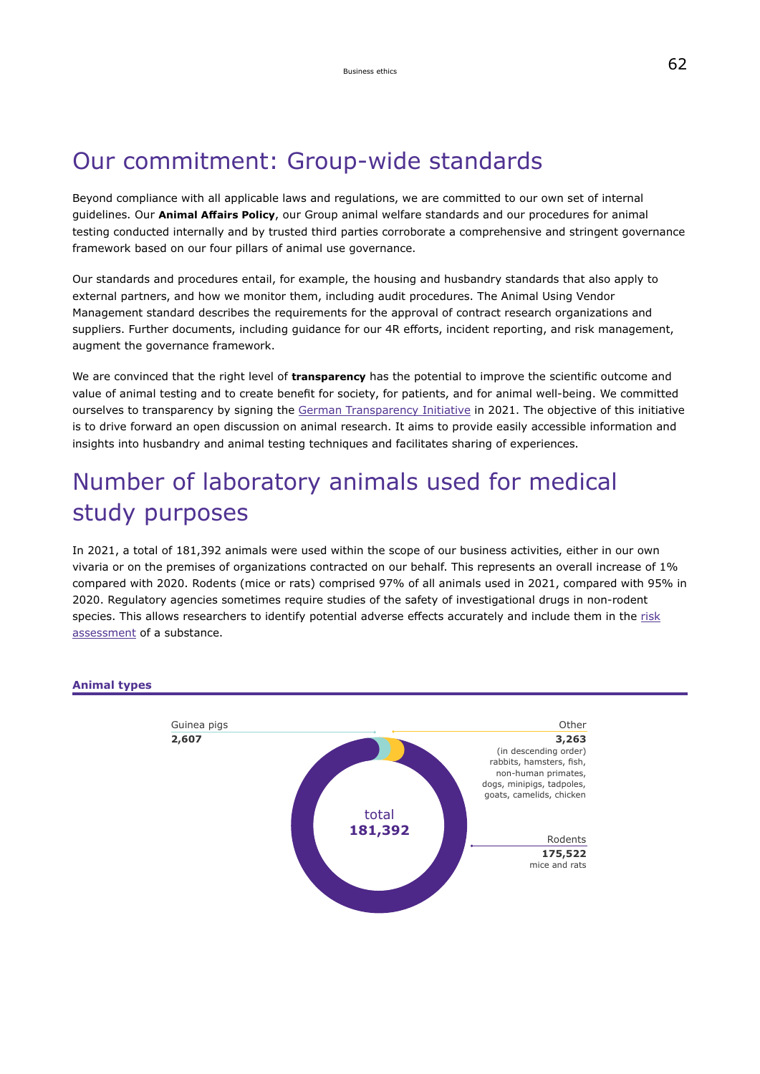# Our commitment: Group-wide standards

Beyond compliance with all applicable laws and regulations, we are committed to our own set of internal guidelines. Our **Animal Affairs Policy**, our Group animal welfare standards and our procedures for animal testing conducted internally and by trusted third parties corroborate a comprehensive and stringent governance framework based on our four pillars of animal use governance.

Our standards and procedures entail, for example, the housing and husbandry standards that also apply to external partners, and how we monitor them, including audit procedures. The Animal Using Vendor Management standard describes the requirements for the approval of contract research organizations and suppliers. Further documents, including guidance for our 4R efforts, incident reporting, and risk management, augment the governance framework.

We are convinced that the right level of **transparency** has the potential to improve the scientific outcome and value of animal testing and to create benefit for society, for patients, and for animal well-being. We committed ourselves to transparency by signing the [German Transparency Initiative](https://www.initiative-transparente-tierversuche.de/) in 2021. The objective of this initiative is to drive forward an open discussion on animal research. It aims to provide easily accessible information and insights into husbandry and animal testing techniques and facilitates sharing of experiences.

# Number of laboratory animals used for medical study purposes

In 2021, a total of 181,392 animals were used within the scope of our business activities, either in our own vivaria or on the premises of organizations contracted on our behalf. This represents an overall increase of 1% compared with 2020. Rodents (mice or rats) comprised 97% of all animals used in 2021, compared with 95% in 2020. Regulatory agencies sometimes require studies of the safety of investigational drugs in non-rodent species. This allows researchers to identify potential adverse effects accurately and include them in the [risk](#page-105-0) [assessment](#page-105-0) of a substance.



#### **Animal types**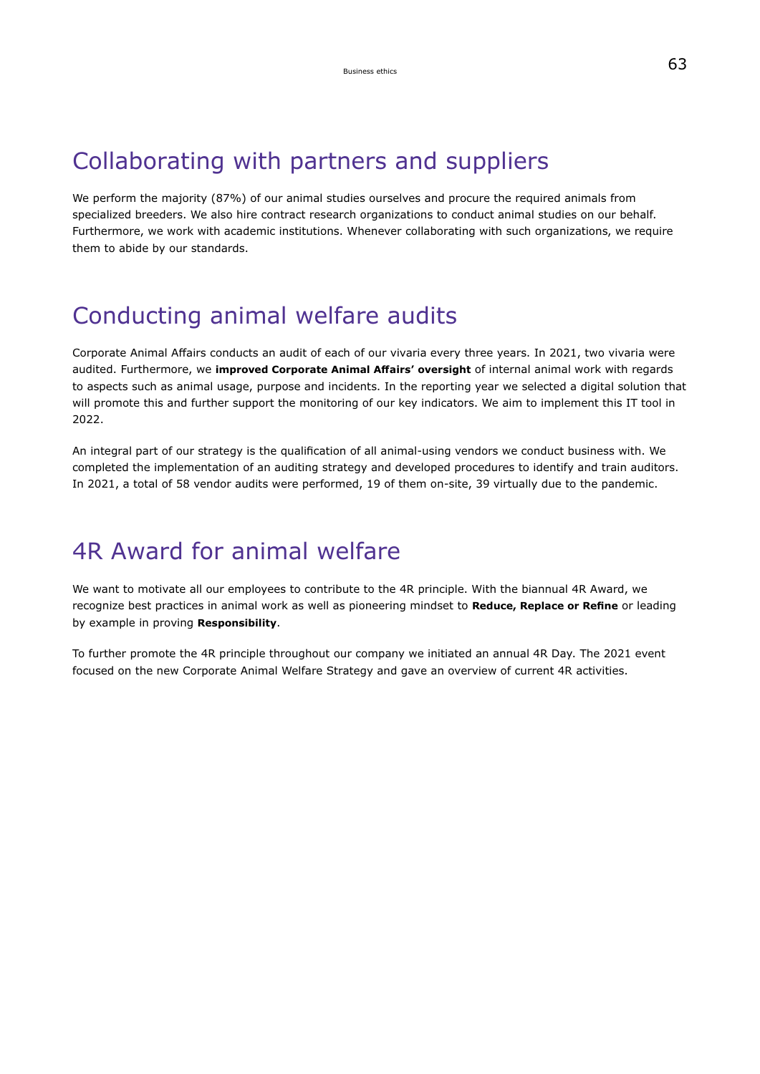## Collaborating with partners and suppliers

We perform the majority (87%) of our animal studies ourselves and procure the required animals from specialized breeders. We also hire contract research organizations to conduct animal studies on our behalf. Furthermore, we work with academic institutions. Whenever collaborating with such organizations, we require them to abide by our standards.

# Conducting animal welfare audits

Corporate Animal Affairs conducts an audit of each of our vivaria every three years. In 2021, two vivaria were audited. Furthermore, we **improved Corporate Animal Affairs' oversight** of internal animal work with regards to aspects such as animal usage, purpose and incidents. In the reporting year we selected a digital solution that will promote this and further support the monitoring of our key indicators. We aim to implement this IT tool in 2022.

An integral part of our strategy is the qualification of all animal-using vendors we conduct business with. We completed the implementation of an auditing strategy and developed procedures to identify and train auditors. In 2021, a total of 58 vendor audits were performed, 19 of them on-site, 39 virtually due to the pandemic.

## 4R Award for animal welfare

We want to motivate all our employees to contribute to the 4R principle. With the biannual 4R Award, we recognize best practices in animal work as well as pioneering mindset to **Reduce, Replace or Refine** or leading by example in proving **Responsibility**.

To further promote the 4R principle throughout our company we initiated an annual 4R Day. The 2021 event focused on the new Corporate Animal Welfare Strategy and gave an overview of current 4R activities.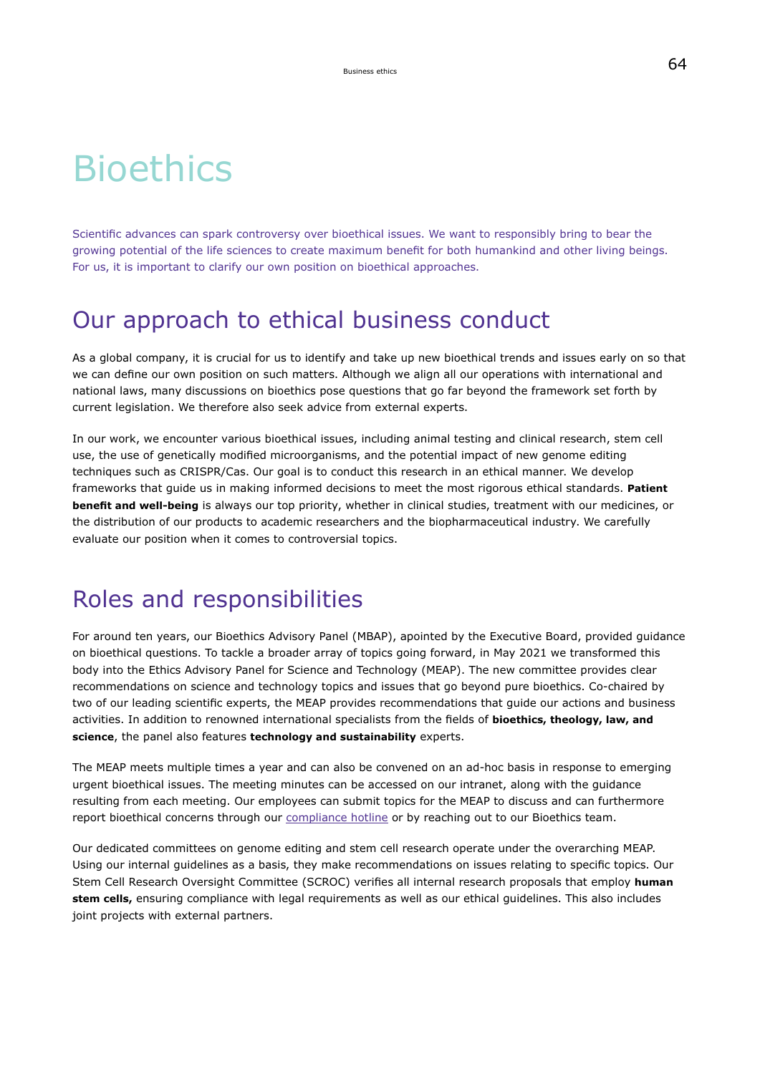# **Bioethics**

Scientific advances can spark controversy over bioethical issues. We want to responsibly bring to bear the growing potential of the life sciences to create maximum benefit for both humankind and other living beings. For us, it is important to clarify our own position on bioethical approaches.

## Our approach to ethical business conduct

As a global company, it is crucial for us to identify and take up new bioethical trends and issues early on so that we can define our own position on such matters. Although we align all our operations with international and national laws, many discussions on bioethics pose questions that go far beyond the framework set forth by current legislation. We therefore also seek advice from external experts.

In our work, we encounter various bioethical issues, including animal testing and clinical research, stem cell use, the use of genetically modified microorganisms, and the potential impact of new genome editing techniques such as CRISPR/Cas. Our goal is to conduct this research in an ethical manner. We develop frameworks that guide us in making informed decisions to meet the most rigorous ethical standards. **Patient benefit and well-being** is always our top priority, whether in clinical studies, treatment with our medicines, or the distribution of our products to academic researchers and the biopharmaceutical industry. We carefully evaluate our position when it comes to controversial topics.

## Roles and responsibilities

For around ten years, our Bioethics Advisory Panel (MBAP), apointed by the Executive Board, provided guidance on bioethical questions. To tackle a broader array of topics going forward, in May 2021 we transformed this body into the Ethics Advisory Panel for Science and Technology (MEAP). The new committee provides clear recommendations on science and technology topics and issues that go beyond pure bioethics. Co-chaired by two of our leading scientific experts, the MEAP provides recommendations that guide our actions and business activities. In addition to renowned international specialists from the fields of **bioethics, theology, law, and science**, the panel also features **technology and sustainability** experts.

The MEAP meets multiple times a year and can also be convened on an ad-hoc basis in response to emerging urgent bioethical issues. The meeting minutes can be accessed on our intranet, along with the guidance resulting from each meeting. Our employees can submit topics for the MEAP to discuss and can furthermore report bioethical concerns through our [compliance hotline](#page-28-0) or by reaching out to our Bioethics team.

Our dedicated committees on genome editing and stem cell research operate under the overarching MEAP. Using our internal guidelines as a basis, they make recommendations on issues relating to specific topics. Our Stem Cell Research Oversight Committee (SCROC) verifies all internal research proposals that employ **human stem cells,** ensuring compliance with legal requirements as well as our ethical guidelines. This also includes joint projects with external partners.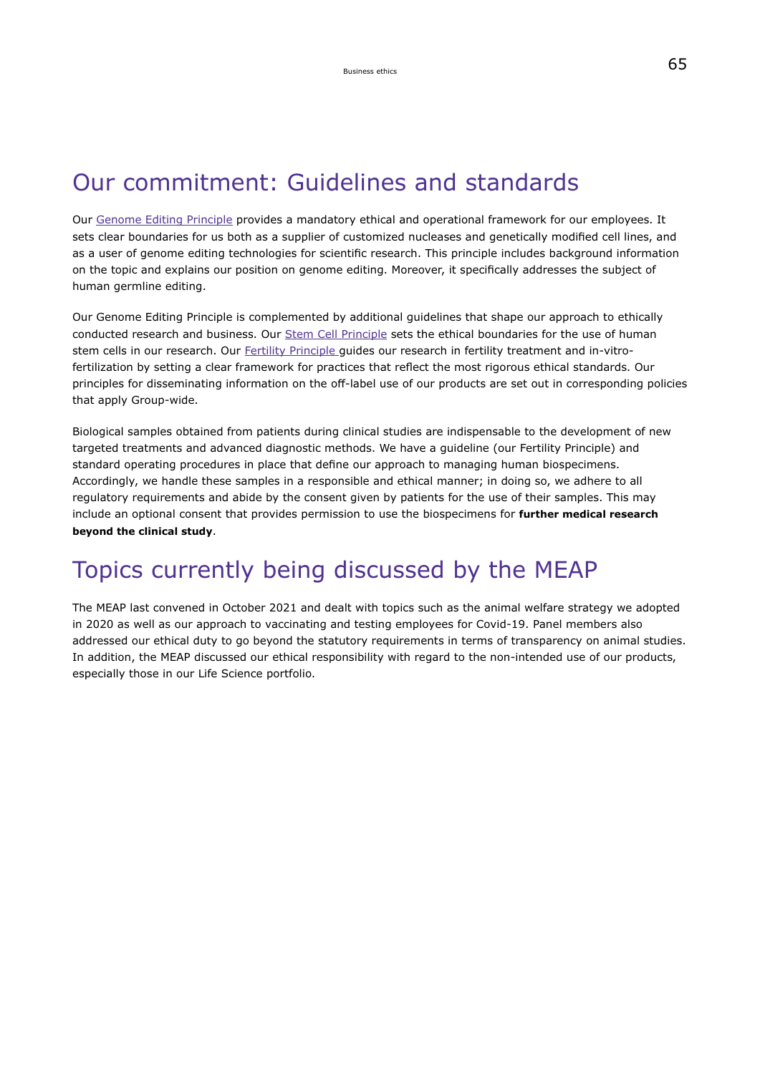## <span id="page-39-0"></span>Our commitment: Guidelines and standards

Our [Genome Editing Principle](https://www.emdgroup.com/company/responsibility/en/regulations-and-guidelines/genome-editing-principle-EN.pdf) provides a mandatory ethical and operational framework for our employees. It sets clear boundaries for us both as a supplier of customized nucleases and genetically modified cell lines, and as a user of genome editing technologies for scientific research. This principle includes background information on the topic and explains our position on genome editing. Moreover, it specifically addresses the subject of human germline editing.

Our Genome Editing Principle is complemented by additional guidelines that shape our approach to ethically conducted research and business. Our [Stem Cell Principle](https://www.emdgroup.com/company/responsibility/en/regulations-and-guidelines/stem-cell-principle_EN.pdf) sets the ethical boundaries for the use of human stem cells in our research. Our [Fertility Principle](https://www.emdgroup.com/company/responsibility/en/regulations-and-guidelines/fertility-principle_EN.pdf) guides our research in fertility treatment and in-vitrofertilization by setting a clear framework for practices that reflect the most rigorous ethical standards. Our principles for disseminating information on the off-label use of our products are set out in corresponding policies that apply Group-wide.

Biological samples obtained from patients during clinical studies are indispensable to the development of new targeted treatments and advanced diagnostic methods. We have a guideline (our Fertility Principle) and standard operating procedures in place that define our approach to managing human biospecimens. Accordingly, we handle these samples in a responsible and ethical manner; in doing so, we adhere to all regulatory requirements and abide by the consent given by patients for the use of their samples. This may include an optional consent that provides permission to use the biospecimens for **further medical research beyond the clinical study**.

# Topics currently being discussed by the MEAP

The MEAP last convened in October 2021 and dealt with topics such as the animal welfare strategy we adopted in 2020 as well as our approach to vaccinating and testing employees for Covid-19. Panel members also addressed our ethical duty to go beyond the statutory requirements in terms of transparency on animal studies. In addition, the MEAP discussed our ethical responsibility with regard to the non-intended use of our products, especially those in our Life Science portfolio.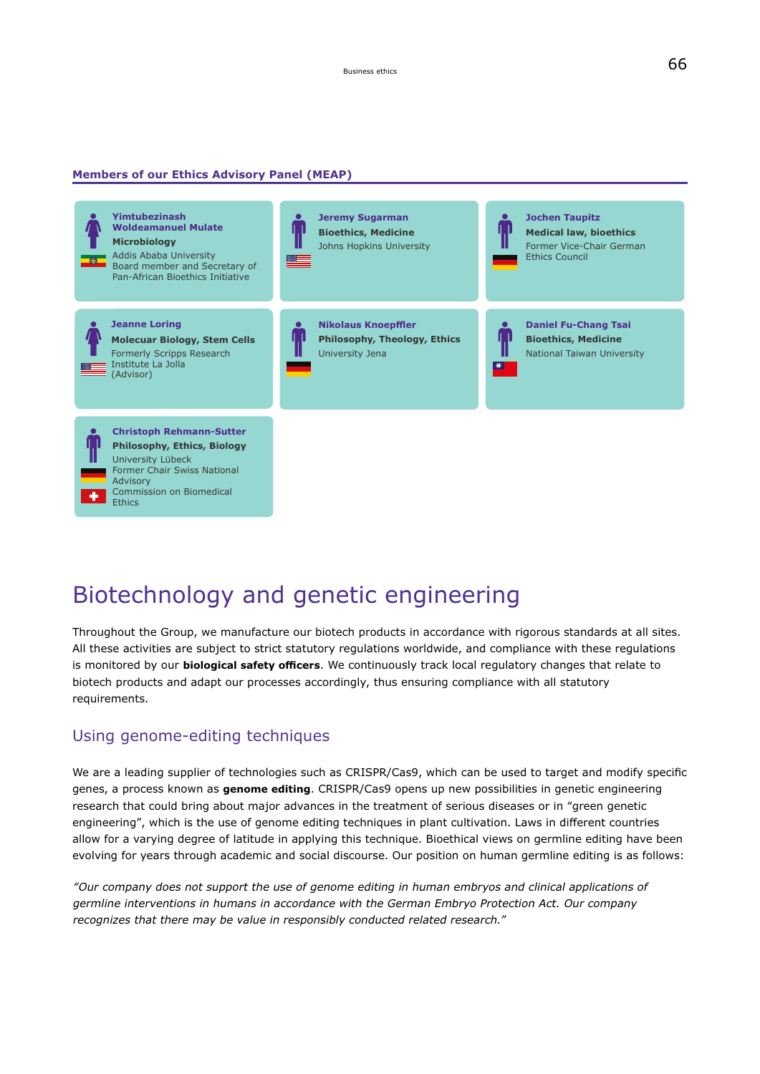#### **Members of our Ethics Advisory Panel (MEAP)**



# Biotechnology and genetic engineering

Throughout the Group, we manufacture our biotech products in accordance with rigorous standards at all sites. All these activities are subject to strict statutory regulations worldwide, and compliance with these regulations is monitored by our **biological safety officers**. We continuously track local regulatory changes that relate to biotech products and adapt our processes accordingly, thus ensuring compliance with all statutory requirements.

### Using genome-editing techniques

We are a leading supplier of technologies such as CRISPR/Cas9, which can be used to target and modify specific genes, a process known as **genome editing**. CRISPR/Cas9 opens up new possibilities in genetic engineering research that could bring about major advances in the treatment of serious diseases or in "green genetic engineering", which is the use of genome editing techniques in plant cultivation. Laws in different countries allow for a varying degree of latitude in applying this technique. Bioethical views on germline editing have been evolving for years through academic and social discourse. Our position on human germline editing is as follows:

"Our company does not support the use of genome editing in human embryos and clinical applications of germline interventions in humans in accordance with the German Embryo Protection Act. Our company recognizes that there may be value in responsibly conducted related research."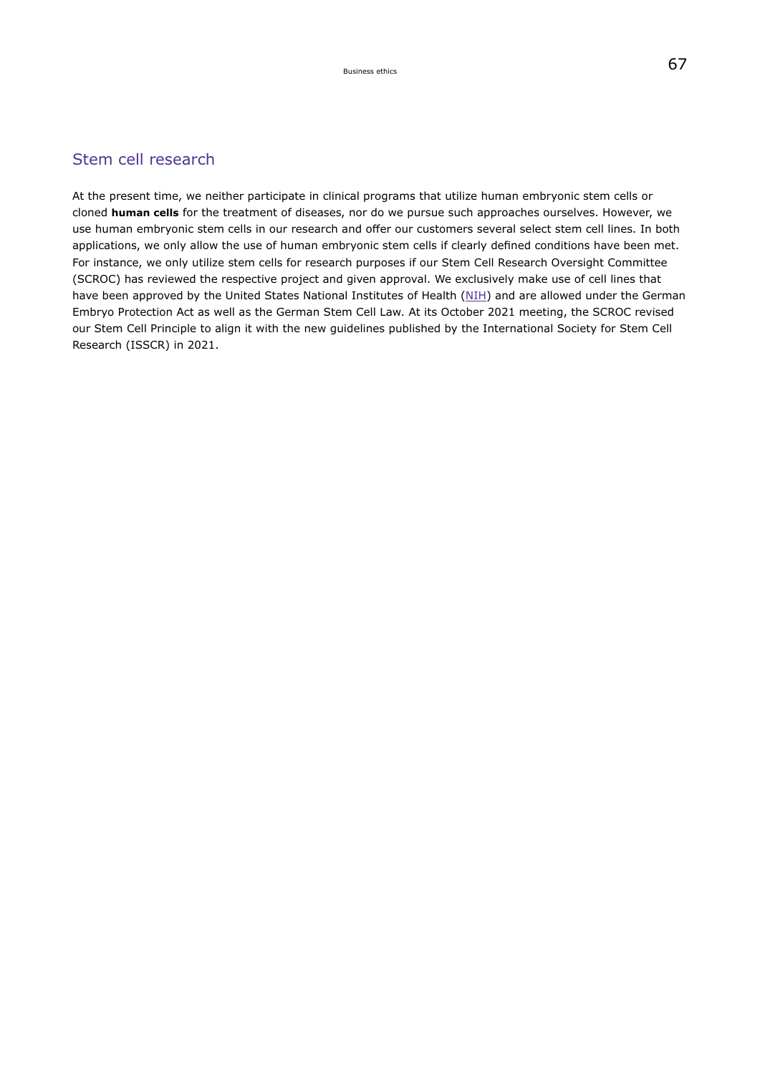### <span id="page-41-0"></span>Stem cell research

<span id="page-41-1"></span>At the present time, we neither participate in clinical programs that utilize human embryonic stem cells or cloned **human cells** for the treatment of diseases, nor do we pursue such approaches ourselves. However, we use human embryonic stem cells in our research and offer our customers several select stem cell lines. In both applications, we only allow the use of human embryonic stem cells if clearly defined conditions have been met. For instance, we only utilize stem cells for research purposes if our Stem Cell Research Oversight Committee (SCROC) has reviewed the respective project and given approval. We exclusively make use of cell lines that have been approved by the United States National Institutes of Health ([NIH](https://www.nih.gov/)) and are allowed under the German Embryo Protection Act as well as the German Stem Cell Law. At its October 2021 meeting, the SCROC revised our Stem Cell Principle to align it with the new guidelines published by the International Society for Stem Cell Research (ISSCR) in 2021.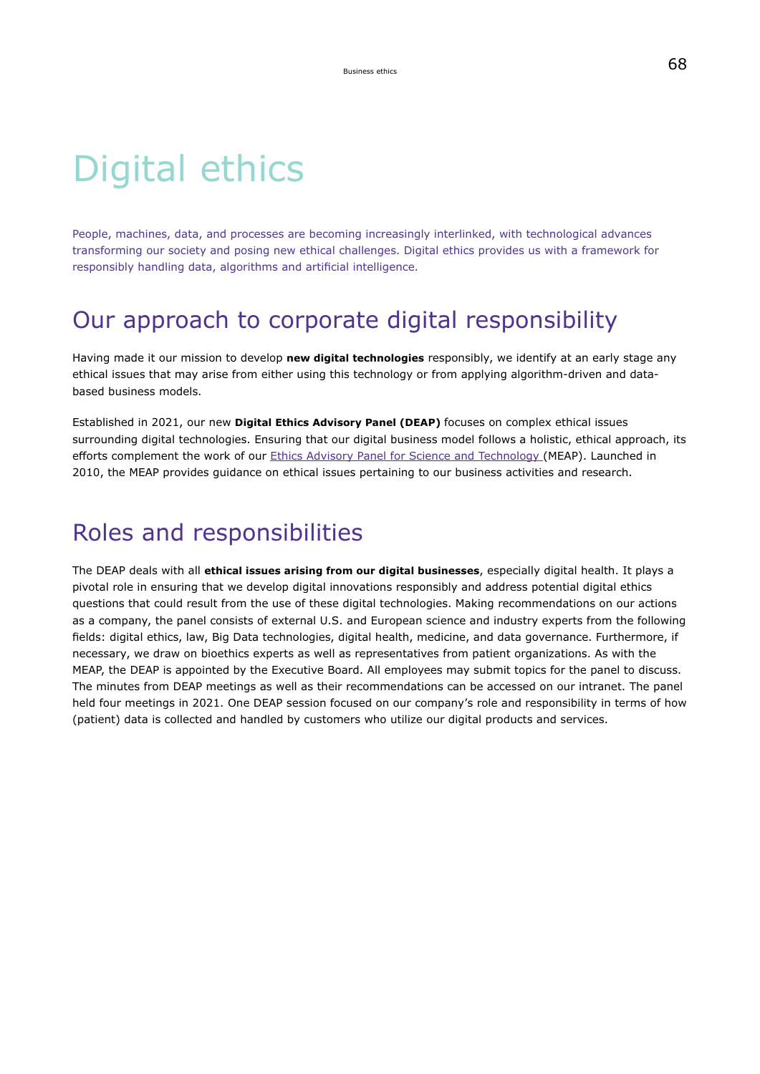# Digital ethics

People, machines, data, and processes are becoming increasingly interlinked, with technological advances transforming our society and posing new ethical challenges. Digital ethics provides us with a framework for responsibly handling data, algorithms and artificial intelligence.

## Our approach to corporate digital responsibility

Having made it our mission to develop **new digital technologies** responsibly, we identify at an early stage any ethical issues that may arise from either using this technology or from applying algorithm-driven and databased business models.

Established in 2021, our new **Digital Ethics Advisory Panel (DEAP)** focuses on complex ethical issues surrounding digital technologies. Ensuring that our digital business model follows a holistic, ethical approach, its efforts complement the work of our [Ethics Advisory Panel for Science and Technology](#page-63-1) (MEAP). Launched in 2010, the MEAP provides guidance on ethical issues pertaining to our business activities and research.

## Roles and responsibilities

The DEAP deals with all **ethical issues arising from our digital businesses**, especially digital health. It plays a pivotal role in ensuring that we develop digital innovations responsibly and address potential digital ethics questions that could result from the use of these digital technologies. Making recommendations on our actions as a company, the panel consists of external U.S. and European science and industry experts from the following fields: digital ethics, law, Big Data technologies, digital health, medicine, and data governance. Furthermore, if necessary, we draw on bioethics experts as well as representatives from patient organizations. As with the MEAP, the DEAP is appointed by the Executive Board. All employees may submit topics for the panel to discuss. The minutes from DEAP meetings as well as their recommendations can be accessed on our intranet. The panel held four meetings in 2021. One DEAP session focused on our company's role and responsibility in terms of how (patient) data is collected and handled by customers who utilize our digital products and services.